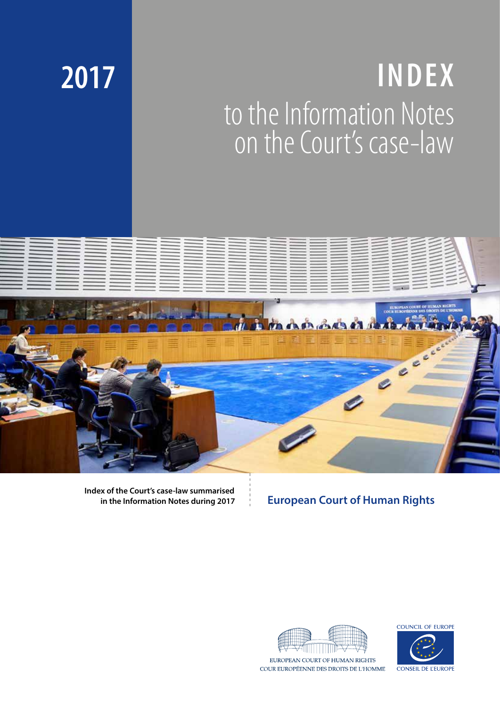# **INDEX** to the Information Notes on the Court's case-law



**Index of the Court's case-law summarised in the Information Notes during 2017** 

# **European Court of Human Rights**



COUR EUROPÉENNE DES DROITS DE L'HOMME



**CONSEIL DE L'EUROPI** 

# **2017**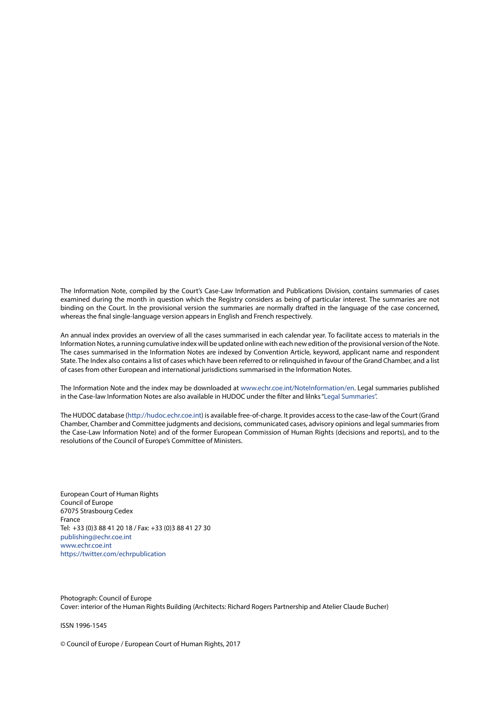The Information Note, compiled by the Court's Case-Law Information and Publications Division, contains summaries of cases examined during the month in question which the Registry considers as being of particular interest. The summaries are not binding on the Court. In the provisional version the summaries are normally drafted in the language of the case concerned, whereas the final single-language version appears in English and French respectively.

An annual index provides an overview of all the cases summarised in each calendar year. To facilitate access to materials in the Information Notes, a running cumulative index will be updated online with each new edition of the provisional version of the Note. The cases summarised in the Information Notes are indexed by Convention Article, keyword, applicant name and respondent State. The Index also contains a list of cases which have been referred to or relinquished in favour of the Grand Chamber, and a list of cases from other European and international jurisdictions summarised in the Information Notes.

The Information Note and the index may be downloaded at [www.echr.coe.int/NoteInformation/en.](http://www.echr.coe.int/NoteInformation/en) Legal summaries published in the Case-law Information Notes are also available in HUDOC under the filter and lilnks "[Legal Summaries](http://hudoc.echr.coe.int/eng#{"sort":["kpdate Descending"],"documentcollectionid2":["CLIN"]})".

The HUDOC database [\(http://hudoc.echr.coe.int\)](http://hudoc.echr.coe.int/eng) is available free-of-charge. It provides access to the case-law of the Court (Grand Chamber, Chamber and Committee judgments and decisions, communicated cases, advisory opinions and legal summaries from the Case-Law Information Note) and of the former European Commission of Human Rights (decisions and reports), and to the resolutions of the Council of Europe's Committee of Ministers.

European Court of Human Rights Council of Europe 67075 Strasbourg Cedex France Tel: +33 (0)3 88 41 20 18 / Fax: +33 (0)3 88 41 27 30 [publishing@echr.coe.int](mailto:publishing%40echr.coe.int?subject=CLIN) [www.echr.coe.int](http://www.echr.coe.int) <https://twitter.com/echrpublication>

Photograph: Council of Europe Cover: interior of the Human Rights Building (Architects: Richard Rogers Partnership and Atelier Claude Bucher)

ISSN 1996-1545

© Council of Europe / European Court of Human Rights, 2017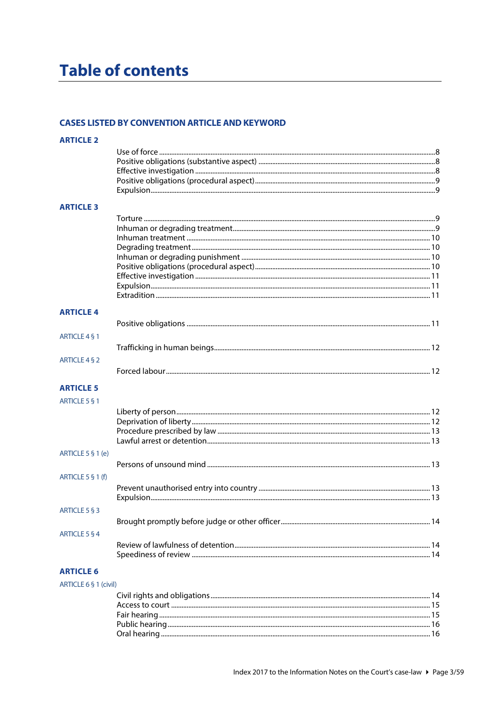# **Table of contents**

#### **CASES LISTED BY CONVENTION ARTICLE AND KEYWORD**

| <b>ARTICLE 2</b>  |  |
|-------------------|--|
|                   |  |
|                   |  |
|                   |  |
|                   |  |
|                   |  |
| <b>ARTICLE 3</b>  |  |
|                   |  |
|                   |  |
|                   |  |
|                   |  |
|                   |  |
|                   |  |
|                   |  |
|                   |  |
|                   |  |
| <b>ARTICLE 4</b>  |  |
|                   |  |
| ARTICLE 4 § 1     |  |
|                   |  |
| ARTICLE 4 § 2     |  |
|                   |  |
|                   |  |
| <b>ARTICLE 5</b>  |  |
| ARTICLE 5 § 1     |  |
|                   |  |
|                   |  |
|                   |  |
|                   |  |
| ARTICLE 5 § 1 (e) |  |
|                   |  |
|                   |  |
| ARTICLE 5 § 1 (f) |  |
|                   |  |
|                   |  |
| ARTICLE 5 § 3     |  |
|                   |  |
| ARTICLE 5 § 4     |  |
|                   |  |
|                   |  |
|                   |  |
| <b>ARTICLE 6</b>  |  |

#### ARTICLE 6 § 1 (civil)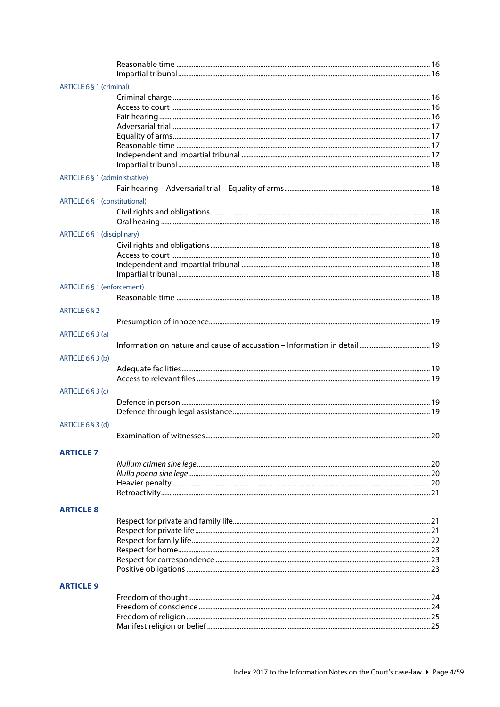| ARTICLE 6 § 1 (criminal)       |                          |    |
|--------------------------------|--------------------------|----|
|                                |                          |    |
|                                |                          |    |
|                                |                          |    |
|                                |                          |    |
|                                |                          |    |
|                                |                          |    |
|                                |                          |    |
|                                |                          |    |
| ARTICLE 6 § 1 (administrative) |                          |    |
|                                |                          |    |
| ARTICLE 6 § 1 (constitutional) |                          |    |
|                                |                          |    |
|                                |                          |    |
| ARTICLE 6 § 1 (disciplinary)   |                          |    |
|                                |                          |    |
|                                |                          |    |
|                                |                          |    |
|                                |                          |    |
| ARTICLE 6 § 1 (enforcement)    |                          |    |
|                                |                          |    |
| ARTICLE 6 § 2                  |                          |    |
|                                |                          |    |
| ARTICLE 6 § 3 (a)              |                          |    |
|                                |                          |    |
|                                |                          |    |
| ARTICLE $6 \S 3$ (b)           |                          |    |
|                                |                          |    |
|                                |                          |    |
| ARTICLE 6 § 3 (c)              |                          |    |
|                                |                          |    |
|                                |                          |    |
| ARTICLE $6 \S 3$ (d)           |                          |    |
|                                | Examination of witnesses | 20 |
|                                |                          |    |
| <b>ARTICI F 7</b>              |                          |    |
|                                |                          |    |
|                                |                          |    |
|                                |                          |    |
|                                |                          |    |
| <b>ARTICLE 8</b>               |                          |    |
|                                |                          |    |
|                                |                          |    |
|                                |                          |    |
|                                |                          |    |
|                                |                          |    |
|                                |                          |    |
| <b>ARTICLE 9</b>               |                          |    |
|                                |                          |    |
|                                |                          |    |
|                                |                          |    |
|                                |                          |    |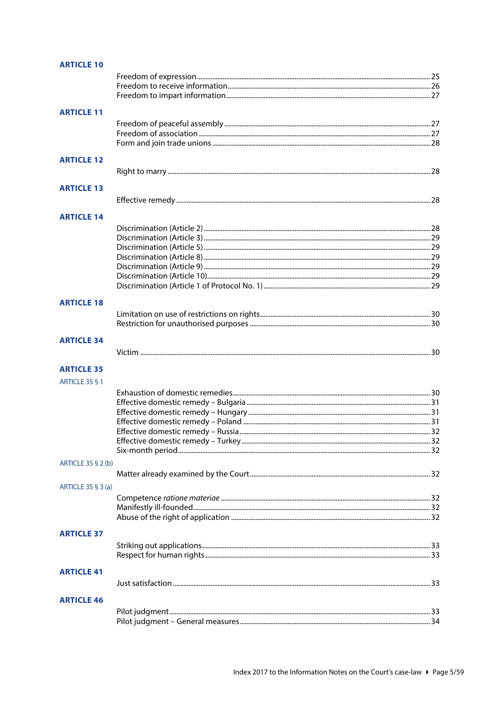| <b>ARTICLE 10</b>  |  |
|--------------------|--|
|                    |  |
|                    |  |
|                    |  |
| <b>ARTICLE 11</b>  |  |
|                    |  |
|                    |  |
|                    |  |
|                    |  |
| <b>ARTICLE 12</b>  |  |
|                    |  |
| <b>ARTICLE 13</b>  |  |
|                    |  |
| <b>ARTICLE 14</b>  |  |
|                    |  |
|                    |  |
|                    |  |
|                    |  |
|                    |  |
|                    |  |
|                    |  |
|                    |  |
| <b>ARTICLE 18</b>  |  |
|                    |  |
|                    |  |
|                    |  |
| <b>ARTICLE 34</b>  |  |
|                    |  |
| <b>ARTICLE 35</b>  |  |
| ARTICLE 35 § 1     |  |
|                    |  |
|                    |  |
|                    |  |
|                    |  |
|                    |  |
|                    |  |
|                    |  |
|                    |  |
| ARTICLE 35 § 2 (b) |  |
|                    |  |
| ARTICLE 35 § 3 (a) |  |
|                    |  |
|                    |  |
|                    |  |
| <b>ARTICLE 37</b>  |  |
|                    |  |
|                    |  |
|                    |  |
| <b>ARTICLE 41</b>  |  |
|                    |  |
| <b>ARTICLE 46</b>  |  |
|                    |  |
|                    |  |
|                    |  |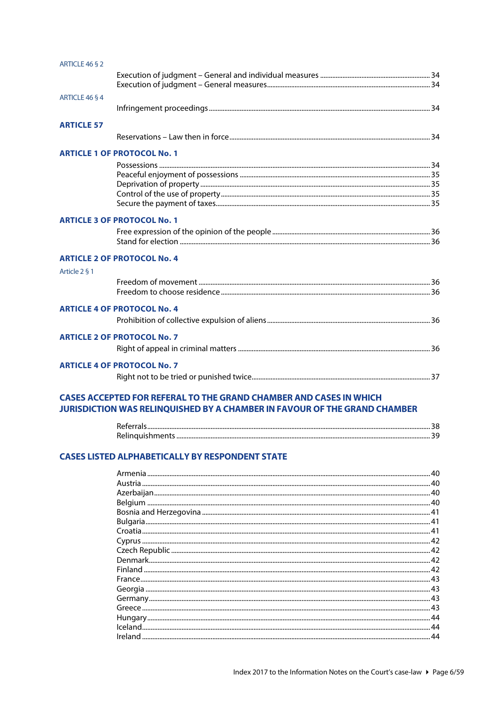| ARTICLE 46 § 2    |                                    |  |
|-------------------|------------------------------------|--|
|                   |                                    |  |
|                   |                                    |  |
| ARTICLE 46 § 4    |                                    |  |
|                   |                                    |  |
| <b>ARTICLE 57</b> |                                    |  |
|                   |                                    |  |
|                   | <b>ARTICLE 1 OF PROTOCOL No. 1</b> |  |
|                   |                                    |  |
|                   |                                    |  |
|                   |                                    |  |
|                   |                                    |  |
|                   |                                    |  |
|                   | <b>ARTICLE 3 OF PROTOCOL No. 1</b> |  |
|                   |                                    |  |
|                   |                                    |  |
|                   | <b>ARTICLE 2 OF PROTOCOL No. 4</b> |  |
| Article 2 § 1     |                                    |  |
|                   |                                    |  |
|                   |                                    |  |
|                   | <b>ARTICLE 4 OF PROTOCOL No. 4</b> |  |
|                   |                                    |  |
|                   | <b>ARTICLE 2 OF PROTOCOL No. 7</b> |  |
|                   |                                    |  |
|                   |                                    |  |
|                   | <b>ARTICLE 4 OF PROTOCOL No. 7</b> |  |
|                   |                                    |  |
|                   |                                    |  |

#### **CASES ACCEPTED FOR REFERAL TO THE GRAND CHAMBER AND CASES IN WHICH** JURISDICTION WAS RELINQUISHED BY A CHAMBER IN FAVOUR OF THE GRAND CHAMBER

#### **CASES LISTED ALPHABETICALLY BY RESPONDENT STATE**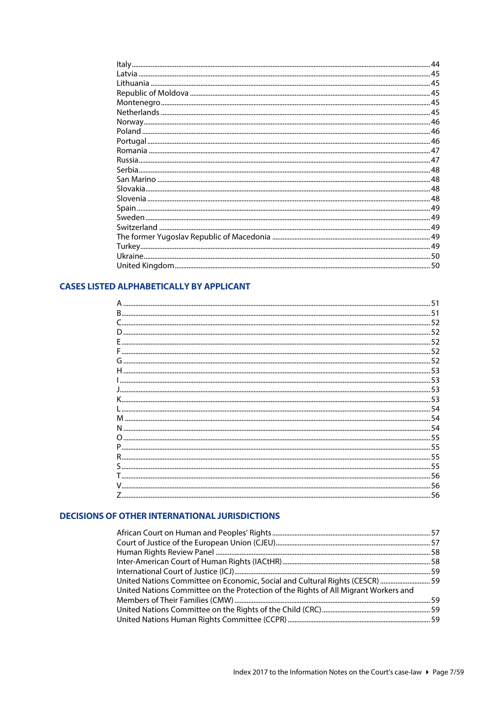| 44 |
|----|
|    |
|    |
|    |
|    |
|    |
|    |
|    |
|    |
|    |
|    |
|    |
|    |
|    |
|    |
|    |
|    |
|    |
|    |
|    |
|    |
|    |
|    |

### **CASES LISTED ALPHABETICALLY BY APPLICANT**

| 56 |
|----|
|    |

#### **DECISIONS OF OTHER INTERNATIONAL JURISDICTIONS**

| United Nations Committee on Economic, Social and Cultural Rights (CESCR)  59        |  |
|-------------------------------------------------------------------------------------|--|
| United Nations Committee on the Protection of the Rights of All Migrant Workers and |  |
|                                                                                     |  |
|                                                                                     |  |
|                                                                                     |  |
|                                                                                     |  |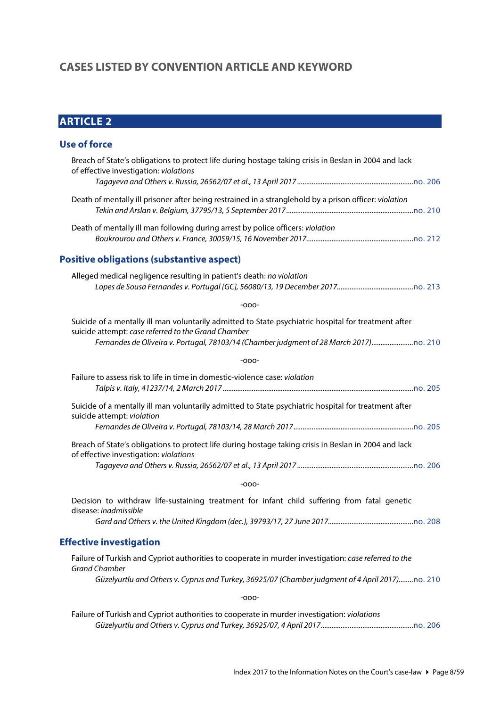# <span id="page-7-0"></span>**CASES LISTED BY CONVENTION ARTICLE AND KEYWORD**

# <span id="page-7-1"></span>**ARTICLE 2**

# <span id="page-7-2"></span>**Use of force**

<span id="page-7-3"></span>

| Breach of State's obligations to protect life during hostage taking crisis in Beslan in 2004 and lack<br>of effective investigation: violations                                                                                                |
|------------------------------------------------------------------------------------------------------------------------------------------------------------------------------------------------------------------------------------------------|
|                                                                                                                                                                                                                                                |
| Death of mentally ill prisoner after being restrained in a stranglehold by a prison officer: violation                                                                                                                                         |
| Death of mentally ill man following during arrest by police officers: violation                                                                                                                                                                |
| <b>Positive obligations (substantive aspect)</b>                                                                                                                                                                                               |
| Alleged medical negligence resulting in patient's death: no violation                                                                                                                                                                          |
| -000-                                                                                                                                                                                                                                          |
| Suicide of a mentally ill man voluntarily admitted to State psychiatric hospital for treatment after<br>suicide attempt: case referred to the Grand Chamber<br>Fernandes de Oliveira v. Portugal, 78103/14 (Chamber judgment of 28 March 2017) |
| -000-                                                                                                                                                                                                                                          |
| Failure to assess risk to life in time in domestic-violence case: violation                                                                                                                                                                    |
| Suicide of a mentally ill man voluntarily admitted to State psychiatric hospital for treatment after<br>suicide attempt: violation                                                                                                             |
| Breach of State's obligations to protect life during hostage taking crisis in Beslan in 2004 and lack<br>of effective investigation: violations                                                                                                |
| -000-                                                                                                                                                                                                                                          |
| Decision to withdraw life-sustaining treatment for infant child suffering from fatal genetic<br>disease: inadmissible                                                                                                                          |
|                                                                                                                                                                                                                                                |
| <b>Effective investigation</b>                                                                                                                                                                                                                 |
| Failure of Turkish and Cypriot authorities to cooperate in murder investigation: case referred to the<br><b>Grand Chamber</b>                                                                                                                  |
| Güzelyurtlu and Others v. Cyprus and Turkey, 36925/07 (Chamber judgment of 4 April 2017)no. 210                                                                                                                                                |
| -000-                                                                                                                                                                                                                                          |
| Failure of Turkish and Cypriot authorities to cooperate in murder investigation: violations                                                                                                                                                    |

<span id="page-7-4"></span>*Güzelyurtlu and Others v. Cyprus and Turkey, 36925/07, 4 April 2017...................................................*[no. 206](http://www.echr.coe.int/Documents/CLIN_2017_04_206_ENG.pdf)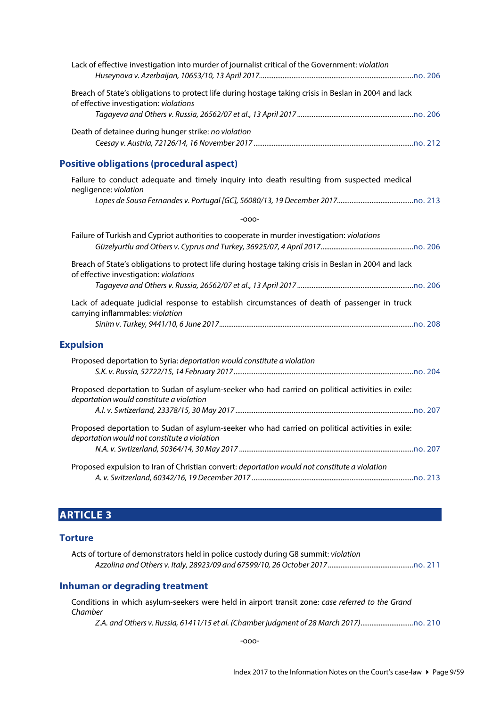<span id="page-8-0"></span>

| Lack of effective investigation into murder of journalist critical of the Government: violation                                                  |
|--------------------------------------------------------------------------------------------------------------------------------------------------|
| Breach of State's obligations to protect life during hostage taking crisis in Beslan in 2004 and lack<br>of effective investigation: violations  |
| Death of detainee during hunger strike: no violation                                                                                             |
| <b>Positive obligations (procedural aspect)</b>                                                                                                  |
| Failure to conduct adequate and timely inquiry into death resulting from suspected medical<br>negligence: violation                              |
|                                                                                                                                                  |
| $-000-$                                                                                                                                          |
| Failure of Turkish and Cypriot authorities to cooperate in murder investigation: violations                                                      |
| Breach of State's obligations to protect life during hostage taking crisis in Beslan in 2004 and lack<br>of effective investigation: violations  |
| Lack of adequate judicial response to establish circumstances of death of passenger in truck<br>carrying inflammables: violation                 |
| <b>Expulsion</b>                                                                                                                                 |
| Proposed deportation to Syria: deportation would constitute a violation                                                                          |
| Proposed deportation to Sudan of asylum-seeker who had carried on political activities in exile:<br>deportation would constitute a violation     |
| Proposed deportation to Sudan of asylum-seeker who had carried on political activities in exile:<br>deportation would not constitute a violation |
| Proposed expulsion to Iran of Christian convert: deportation would not constitute a violation                                                    |

# <span id="page-8-2"></span><span id="page-8-1"></span>**ARTICLE 3**

#### <span id="page-8-3"></span>**Torture**

| Acts of torture of demonstrators held in police custody during G8 summit: violation |  |
|-------------------------------------------------------------------------------------|--|
|                                                                                     |  |

# <span id="page-8-4"></span>**Inhuman or degrading treatment**

Conditions in which asylum-seekers were held in airport transit zone: *case referred to the Grand Chamber*

*Z.A. and Others v. Russia, 61411/15 et al. (Chamber judgment of 28 March 2017).............................*[no. 210](http://www.echr.coe.int/Documents/CLIN_2017_09_210_ENG.pdf)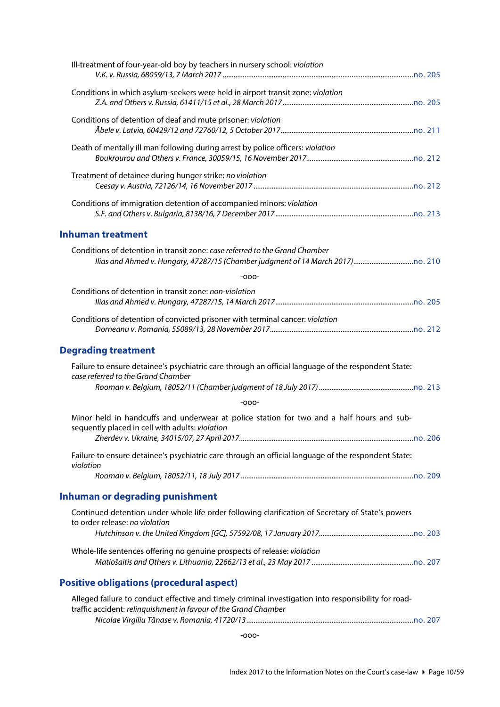<span id="page-9-3"></span><span id="page-9-2"></span><span id="page-9-1"></span><span id="page-9-0"></span>

| Ill-treatment of four-year-old boy by teachers in nursery school: violation                                                                                             |  |
|-------------------------------------------------------------------------------------------------------------------------------------------------------------------------|--|
| Conditions in which asylum-seekers were held in airport transit zone: violation                                                                                         |  |
| Conditions of detention of deaf and mute prisoner: violation                                                                                                            |  |
| Death of mentally ill man following during arrest by police officers: violation                                                                                         |  |
| Treatment of detainee during hunger strike: no violation                                                                                                                |  |
| Conditions of immigration detention of accompanied minors: violation                                                                                                    |  |
| <b>Inhuman treatment</b>                                                                                                                                                |  |
| Conditions of detention in transit zone: case referred to the Grand Chamber                                                                                             |  |
| $-000-$                                                                                                                                                                 |  |
| Conditions of detention in transit zone: non-violation                                                                                                                  |  |
| Conditions of detention of convicted prisoner with terminal cancer: violation                                                                                           |  |
| <b>Degrading treatment</b>                                                                                                                                              |  |
| Failure to ensure detainee's psychiatric care through an official language of the respondent State:<br>case referred to the Grand Chamber                               |  |
|                                                                                                                                                                         |  |
| $-000-$                                                                                                                                                                 |  |
| Minor held in handcuffs and underwear at police station for two and a half hours and sub-<br>sequently placed in cell with adults: violation                            |  |
|                                                                                                                                                                         |  |
| Failure to ensure detainee's psychiatric care through an official language of the respondent State:<br>violation                                                        |  |
|                                                                                                                                                                         |  |
| <b>Inhuman or degrading punishment</b>                                                                                                                                  |  |
| Continued detention under whole life order following clarification of Secretary of State's powers<br>to order release: no violation                                     |  |
|                                                                                                                                                                         |  |
| Whole-life sentences offering no genuine prospects of release: violation                                                                                                |  |
| <b>Positive obligations (procedural aspect)</b>                                                                                                                         |  |
| Alleged failure to conduct effective and timely criminal investigation into responsibility for road-<br>traffic accident: relinquishment in favour of the Grand Chamber |  |
|                                                                                                                                                                         |  |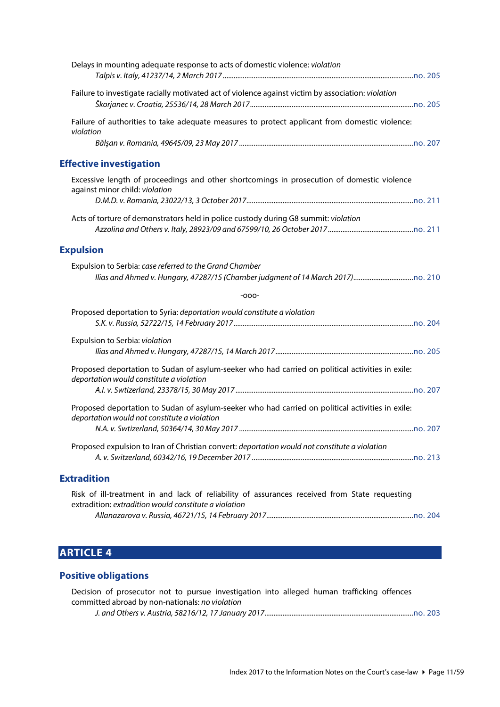<span id="page-10-1"></span><span id="page-10-0"></span>

| Delays in mounting adequate response to acts of domestic violence: violation                                                                           |  |
|--------------------------------------------------------------------------------------------------------------------------------------------------------|--|
| Failure to investigate racially motivated act of violence against victim by association: violation                                                     |  |
| Failure of authorities to take adequate measures to protect applicant from domestic violence:<br>violation                                             |  |
|                                                                                                                                                        |  |
| <b>Effective investigation</b>                                                                                                                         |  |
| Excessive length of proceedings and other shortcomings in prosecution of domestic violence<br>against minor child: violation                           |  |
|                                                                                                                                                        |  |
| Acts of torture of demonstrators held in police custody during G8 summit: violation                                                                    |  |
| <b>Expulsion</b>                                                                                                                                       |  |
| Expulsion to Serbia: case referred to the Grand Chamber                                                                                                |  |
| $-000-$                                                                                                                                                |  |
| Proposed deportation to Syria: deportation would constitute a violation                                                                                |  |
| Expulsion to Serbia: violation                                                                                                                         |  |
| Proposed deportation to Sudan of asylum-seeker who had carried on political activities in exile:<br>deportation would constitute a violation           |  |
|                                                                                                                                                        |  |
| Proposed deportation to Sudan of asylum-seeker who had carried on political activities in exile:<br>deportation would not constitute a violation       |  |
| Proposed expulsion to Iran of Christian convert: deportation would not constitute a violation                                                          |  |
| <b>Extradition</b>                                                                                                                                     |  |
| Risk of ill-treatment in and lack of reliability of assurances received from State requesting<br>extradition: extradition would constitute a violation |  |

# <span id="page-10-3"></span>**ARTICLE 4**

#### <span id="page-10-4"></span>**Positive obligations**

Decision of prosecutor not to pursue investigation into alleged human trafficking offences committed abroad by non-nationals: *no violation J. and Others v. Austria, 58216/12, 17 January 2017..................................................................................*[no. 203](http://www.echr.coe.int/Documents/CLIN_2017_01_203_ENG.pdf)

<span id="page-10-2"></span>*Allanazarova v. Russia, 46721/15, 14 February 2017.................................................................................*[no. 204](http://www.echr.coe.int/Documents/CLIN_2017_02_204_ENG.pdf)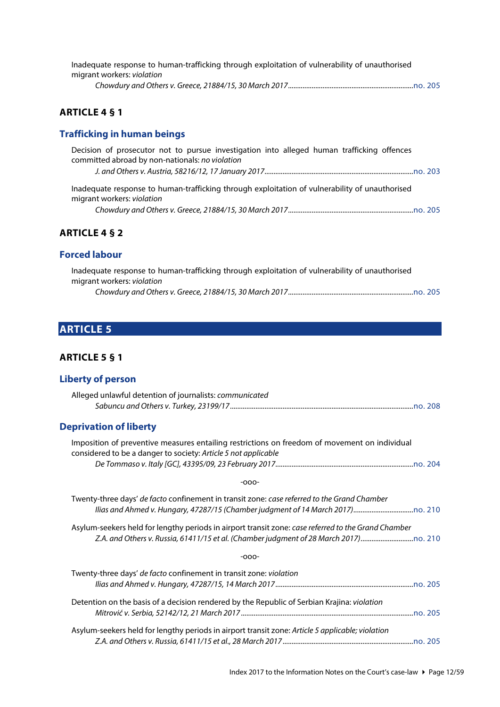| Inadequate response to human-trafficking through exploitation of vulnerability of unauthorised |  |
|------------------------------------------------------------------------------------------------|--|
| migrant workers: violation                                                                     |  |
|                                                                                                |  |

# <span id="page-11-0"></span>**ARTICLE 4 § 1**

# <span id="page-11-1"></span>**Trafficking in human beings**

| Decision of prosecutor not to pursue investigation into alleged human trafficking offences                                   |  |
|------------------------------------------------------------------------------------------------------------------------------|--|
| committed abroad by non-nationals: no violation                                                                              |  |
|                                                                                                                              |  |
| Inadequate response to human-trafficking through exploitation of vulnerability of unauthorised<br>migrant workers: violation |  |
|                                                                                                                              |  |

#### <span id="page-11-2"></span>**ARTICLE 4 § 2**

### <span id="page-11-3"></span>**Forced labour**

| Inadequate response to human-trafficking through exploitation of vulnerability of unauthorised |  |
|------------------------------------------------------------------------------------------------|--|
| migrant workers: violation                                                                     |  |
|                                                                                                |  |

# <span id="page-11-4"></span>**ARTICLE 5**

# <span id="page-11-5"></span>**ARTICLE 5 § 1**

#### <span id="page-11-6"></span>**Liberty of person**

<span id="page-11-7"></span>

| <b>EINELLY OF NELSUIT</b>                                                                                                                                       |
|-----------------------------------------------------------------------------------------------------------------------------------------------------------------|
| Alleged unlawful detention of journalists: communicated                                                                                                         |
| <b>Deprivation of liberty</b>                                                                                                                                   |
| Imposition of preventive measures entailing restrictions on freedom of movement on individual<br>considered to be a danger to society: Article 5 not applicable |
| $-000-$                                                                                                                                                         |
| Twenty-three days' de facto confinement in transit zone: case referred to the Grand Chamber                                                                     |
| Asylum-seekers held for lengthy periods in airport transit zone: case referred to the Grand Chamber                                                             |
| $-000-$                                                                                                                                                         |
| Twenty-three days' de facto confinement in transit zone: violation                                                                                              |
| Detention on the basis of a decision rendered by the Republic of Serbian Krajina: violation                                                                     |
| Asylum-seekers held for lengthy periods in airport transit zone: Article 5 applicable; violation                                                                |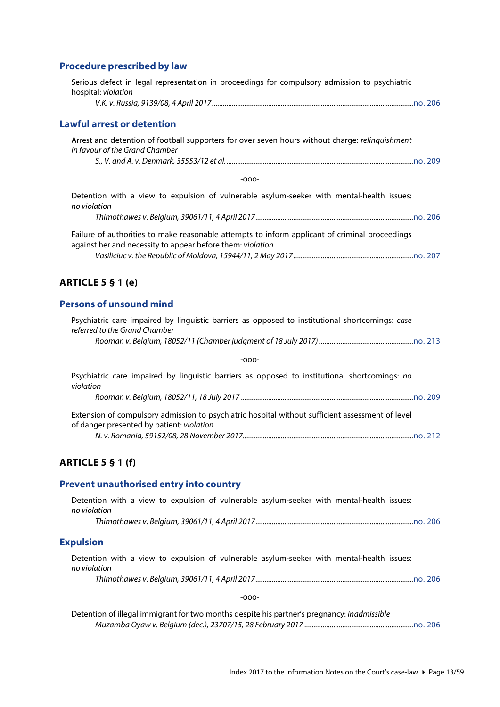# <span id="page-12-0"></span>**Procedure prescribed by law**

<span id="page-12-2"></span><span id="page-12-1"></span>

| Serious defect in legal representation in proceedings for compulsory admission to psychiatric<br>hospital: violation                                         |
|--------------------------------------------------------------------------------------------------------------------------------------------------------------|
|                                                                                                                                                              |
| <b>Lawful arrest or detention</b>                                                                                                                            |
| Arrest and detention of football supporters for over seven hours without charge: relinquishment<br>in favour of the Grand Chamber                            |
|                                                                                                                                                              |
| $-000-$                                                                                                                                                      |
| Detention with a view to expulsion of vulnerable asylum-seeker with mental-health issues:<br>no violation                                                    |
|                                                                                                                                                              |
| Failure of authorities to make reasonable attempts to inform applicant of criminal proceedings<br>against her and necessity to appear before them: violation |
|                                                                                                                                                              |
| <b>ARTICLE 5 § 1 (e)</b>                                                                                                                                     |
| <b>Persons of unsound mind</b>                                                                                                                               |
| Psychiatric care impaired by linguistic barriers as opposed to institutional shortcomings: case<br>referred to the Grand Chamber                             |
|                                                                                                                                                              |
| $-000-$                                                                                                                                                      |
| Psychiatric care impaired by linguistic barriers as opposed to institutional shortcomings: no<br>violation                                                   |
|                                                                                                                                                              |
| Extension of compulsory admission to psychiatric hospital without sufficient assessment of level<br>of danger presented by patient: violation                |
|                                                                                                                                                              |
| <b>ARTICLE 5 § 1 (f)</b>                                                                                                                                     |
|                                                                                                                                                              |

### <span id="page-12-5"></span><span id="page-12-4"></span><span id="page-12-3"></span>**Prevent unauthorised entry into country**

<span id="page-12-6"></span>

| Detention with a view to expulsion of vulnerable asylum-seeker with mental-health issues:<br>no violation |
|-----------------------------------------------------------------------------------------------------------|
|                                                                                                           |
| <b>Expulsion</b>                                                                                          |
| Detention with a view to expulsion of vulnerable asylum-seeker with mental-health issues:<br>no violation |
|                                                                                                           |
| $-000-$                                                                                                   |
| Detention of illegal immigrant for two months despite his partner's pregnancy: inadmissible               |

*Muzamba Oyaw v. Belgium (dec.), 23707/15, 28 February 2017 ............................................................*[no. 206](http://www.echr.coe.int/Documents/CLIN_2017_04_206_ENG.pdf)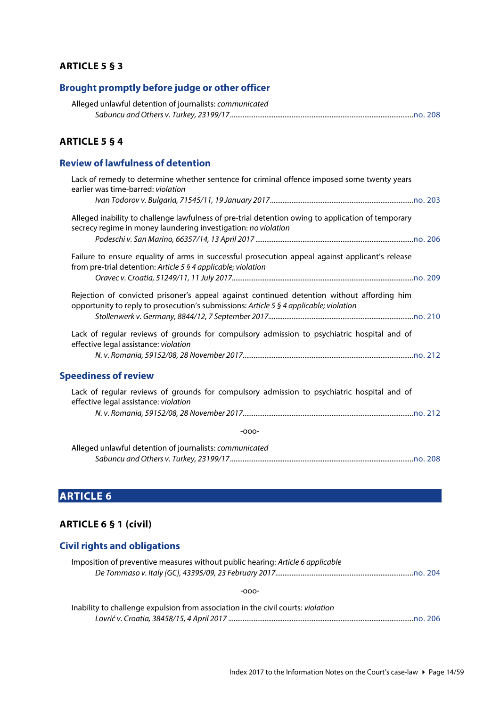#### <span id="page-13-0"></span>**ARTICLE 5 § 3**

#### <span id="page-13-1"></span>**Brought promptly before judge or other officer**

| Alleged unlawful detention of journalists: communicated |  |
|---------------------------------------------------------|--|
|                                                         |  |

#### <span id="page-13-2"></span>**ARTICLE 5 § 4**

# <span id="page-13-3"></span>**Review of lawfulness of detention**

| Lack of remedy to determine whether sentence for criminal offence imposed some twenty years<br>earlier was time-barred: violation                                                    |
|--------------------------------------------------------------------------------------------------------------------------------------------------------------------------------------|
|                                                                                                                                                                                      |
| Alleged inability to challenge lawfulness of pre-trial detention owing to application of temporary<br>secrecy regime in money laundering investigation: no violation                 |
|                                                                                                                                                                                      |
| Failure to ensure equality of arms in successful prosecution appeal against applicant's release<br>from pre-trial detention: Article 5 § 4 applicable; violation                     |
|                                                                                                                                                                                      |
| Rejection of convicted prisoner's appeal against continued detention without affording him<br>opportunity to reply to prosecution's submissions: Article 5 § 4 applicable; violation |
|                                                                                                                                                                                      |
| Lack of regular reviews of grounds for compulsory admission to psychiatric hospital and of<br>effective legal assistance: violation                                                  |
|                                                                                                                                                                                      |
| <b>Speediness of review</b>                                                                                                                                                          |
| Lack of regular reviews of grounds for compulsory admission to psychiatric hospital and of<br>effective legal assistance: violation                                                  |
|                                                                                                                                                                                      |
| $-000-$                                                                                                                                                                              |
| Alleged unlawful detention of journalists: communicated                                                                                                                              |

# <span id="page-13-5"></span>**ARTICLE 6**

#### <span id="page-13-6"></span>**ARTICLE 6 § 1 (civil)**

#### <span id="page-13-7"></span>**Civil rights and obligations**

| Imposition of preventive measures without public hearing: Article 6 applicable |  |
|--------------------------------------------------------------------------------|--|
|                                                                                |  |

<span id="page-13-4"></span>*Sabuncu and Others v. Turkey, 23199/17.....................................................................................................*[no. 208](http://www.echr.coe.int/Documents/CLIN_2017_06_208_ENG.pdf)

| Inability to challenge expulsion from association in the civil courts: violation |  |
|----------------------------------------------------------------------------------|--|
|                                                                                  |  |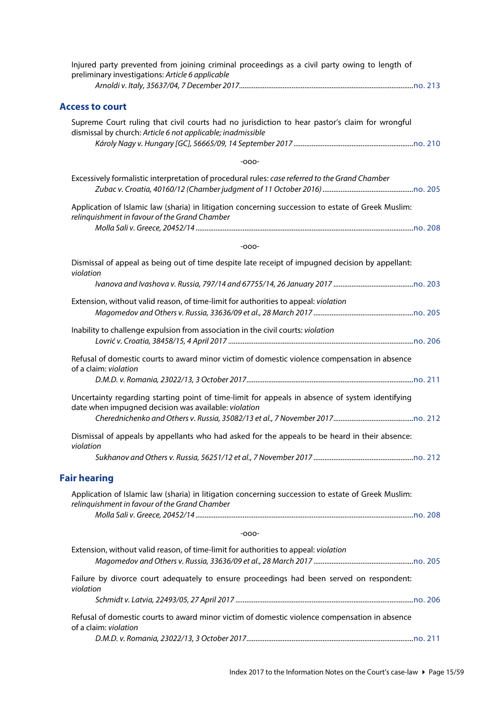<span id="page-14-1"></span><span id="page-14-0"></span>

| Injured party prevented from joining criminal proceedings as a civil party owing to length of<br>preliminary investigations: Article 6 applicable             |
|---------------------------------------------------------------------------------------------------------------------------------------------------------------|
| <b>Access to court</b>                                                                                                                                        |
| Supreme Court ruling that civil courts had no jurisdiction to hear pastor's claim for wrongful<br>dismissal by church: Article 6 not applicable; inadmissible |
| $-000-$                                                                                                                                                       |
| Excessively formalistic interpretation of procedural rules: case referred to the Grand Chamber                                                                |
| Application of Islamic law (sharia) in litigation concerning succession to estate of Greek Muslim:<br>relinquishment in favour of the Grand Chamber           |
| $-000-$                                                                                                                                                       |
| Dismissal of appeal as being out of time despite late receipt of impugned decision by appellant:<br>violation                                                 |
|                                                                                                                                                               |
| Extension, without valid reason, of time-limit for authorities to appeal: violation                                                                           |
| Inability to challenge expulsion from association in the civil courts: violation                                                                              |
| Refusal of domestic courts to award minor victim of domestic violence compensation in absence<br>of a claim: violation                                        |
| Uncertainty regarding starting point of time-limit for appeals in absence of system identifying<br>date when impugned decision was available: violation       |
| Dismissal of appeals by appellants who had asked for the appeals to be heard in their absence:<br>violation                                                   |
|                                                                                                                                                               |
| <b>Fair hearing</b>                                                                                                                                           |
| Application of Islamic law (sharia) in litigation concerning succession to estate of Greek Muslim:<br>relinquishment in favour of the Grand Chamber           |
| $-000-$                                                                                                                                                       |
| Extension, without valid reason, of time-limit for authorities to appeal: violation                                                                           |
| Failure by divorce court adequately to ensure proceedings had been served on respondent:<br>violation                                                         |
| Refusal of domestic courts to award minor victim of domestic violence compensation in absence<br>of a claim: violation                                        |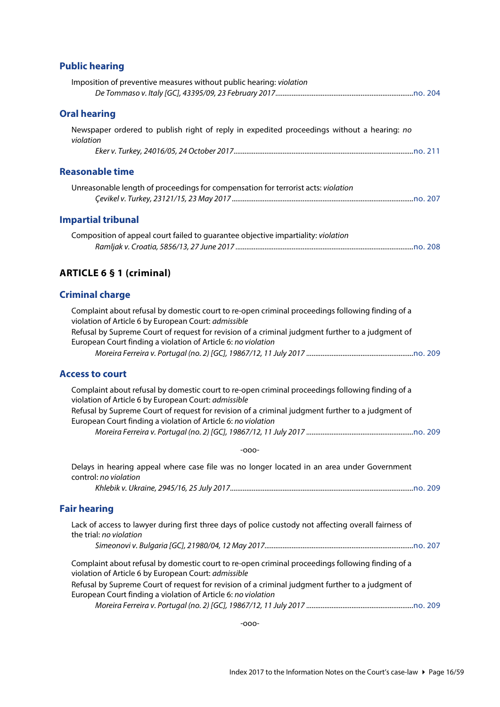#### <span id="page-15-0"></span>**Public hearing**

<span id="page-15-2"></span><span id="page-15-1"></span>

| Imposition of preventive measures without public hearing: violation                                     |  |
|---------------------------------------------------------------------------------------------------------|--|
| <b>Oral hearing</b>                                                                                     |  |
| Newspaper ordered to publish right of reply in expedited proceedings without a hearing: no<br>violation |  |
|                                                                                                         |  |
| <b>Reasonable time</b>                                                                                  |  |
| Unreasonable length of proceedings for compensation for terrorist acts: violation                       |  |
| <b>Impartial tribunal</b>                                                                               |  |
| Composition of appeal court failed to quarantee objective impartiality: <i>violation</i>                |  |

# <span id="page-15-4"></span><span id="page-15-3"></span>**ARTICLE 6 § 1 (criminal)**

#### <span id="page-15-5"></span>**Criminal charge**

| Complaint about refusal by domestic court to re-open criminal proceedings following finding of a |  |
|--------------------------------------------------------------------------------------------------|--|
| violation of Article 6 by European Court: <i>admissible</i>                                      |  |
| Refusal by Supreme Court of request for revision of a criminal judgment further to a judgment of |  |
| European Court finding a violation of Article 6: no violation                                    |  |
|                                                                                                  |  |
|                                                                                                  |  |

### <span id="page-15-6"></span>**Access to court**

| Complaint about refusal by domestic court to re-open criminal proceedings following finding of a |  |
|--------------------------------------------------------------------------------------------------|--|
| violation of Article 6 by European Court: admissible                                             |  |
| Refusal by Supreme Court of request for revision of a criminal judgment further to a judgment of |  |
| European Court finding a violation of Article 6: no violation                                    |  |
|                                                                                                  |  |
| -000-                                                                                            |  |

Delays in hearing appeal where case file was no longer located in an area under Government control: *no violation Khlebik v. Ukraine, 2945/16, 25 July 2017.....................................................................................................*[no. 209](http://www.echr.coe.int/Documents/CLIN_2017_07_209_ENG.pdf)

### <span id="page-15-7"></span>**Fair hearing**

| Lack of access to lawyer during first three days of police custody not affecting overall fairness of                                                                                                                                                                                                        |  |  |  |  |  |  |  |
|-------------------------------------------------------------------------------------------------------------------------------------------------------------------------------------------------------------------------------------------------------------------------------------------------------------|--|--|--|--|--|--|--|
| the trial: no violation                                                                                                                                                                                                                                                                                     |  |  |  |  |  |  |  |
|                                                                                                                                                                                                                                                                                                             |  |  |  |  |  |  |  |
| Complaint about refusal by domestic court to re-open criminal proceedings following finding of a<br>violation of Article 6 by European Court: admissible                                                                                                                                                    |  |  |  |  |  |  |  |
| Refusal by Supreme Court of request for revision of a criminal judgment further to a judgment of                                                                                                                                                                                                            |  |  |  |  |  |  |  |
| European Court finding a violation of Article 6: no violation                                                                                                                                                                                                                                               |  |  |  |  |  |  |  |
| $\mathbf{a}$ , $\mathbf{b}$ , $\mathbf{c}$ , $\mathbf{c}$ , $\mathbf{c}$ , $\mathbf{c}$ , $\mathbf{c}$ , $\mathbf{c}$ , $\mathbf{c}$ , $\mathbf{c}$ , $\mathbf{c}$ , $\mathbf{c}$ , $\mathbf{c}$ , $\mathbf{c}$ , $\mathbf{c}$ , $\mathbf{c}$ , $\mathbf{c}$ , $\mathbf{c}$ , $\mathbf{c}$ , $\mathbf{c}$ , |  |  |  |  |  |  |  |

*Moreira Ferreira v. Portugal (no. 2) [GC], 19867/12, 11 July 2017 ...........................................................*[no. 209](http://www.echr.coe.int/Documents/CLIN_2017_07_209_ENG.pdf)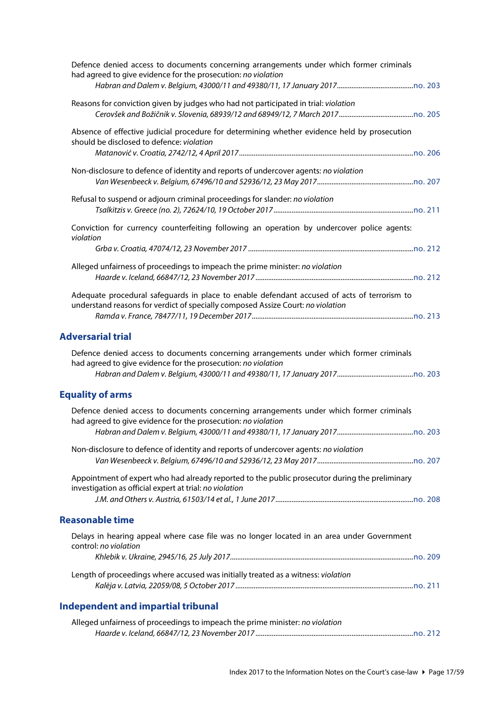<span id="page-16-0"></span>

| Defence denied access to documents concerning arrangements under which former criminals<br>had agreed to give evidence for the prosecution: no violation                       |  |
|--------------------------------------------------------------------------------------------------------------------------------------------------------------------------------|--|
| Reasons for conviction given by judges who had not participated in trial: violation                                                                                            |  |
| Absence of effective judicial procedure for determining whether evidence held by prosecution<br>should be disclosed to defence: violation                                      |  |
| Non-disclosure to defence of identity and reports of undercover agents: no violation                                                                                           |  |
| Refusal to suspend or adjourn criminal proceedings for slander: no violation                                                                                                   |  |
| Conviction for currency counterfeiting following an operation by undercover police agents:<br>violation                                                                        |  |
|                                                                                                                                                                                |  |
| Alleged unfairness of proceedings to impeach the prime minister: no violation                                                                                                  |  |
| Adequate procedural safeguards in place to enable defendant accused of acts of terrorism to<br>understand reasons for verdict of specially composed Assize Court: no violation |  |
|                                                                                                                                                                                |  |
| <b>Adversarial trial</b>                                                                                                                                                       |  |
| Defence denied access to documents concerning arrangements under which former criminals<br>had agreed to give evidence for the prosecution: no violation                       |  |
|                                                                                                                                                                                |  |
| <b>Equality of arms</b>                                                                                                                                                        |  |
| Defence denied access to documents concerning arrangements under which former criminals<br>had agreed to give evidence for the prosecution: no violation                       |  |
|                                                                                                                                                                                |  |
| Non-disclosure to defence of identity and reports of undercover agents: no violation                                                                                           |  |
| Appointment of expert who had already reported to the public prosecutor during the preliminary<br>investigation as official expert at trial: no violation                      |  |
| <b>Reasonable time</b>                                                                                                                                                         |  |
| Delays in hearing appeal where case file was no longer located in an area under Government                                                                                     |  |
| control: no violation                                                                                                                                                          |  |
| Length of proceedings where accused was initially treated as a witness: violation                                                                                              |  |
| <b>Independent and impartial tribunal</b>                                                                                                                                      |  |
| Alleged unfairness of proceedings to impeach the prime minister: no violation                                                                                                  |  |

<span id="page-16-3"></span><span id="page-16-2"></span><span id="page-16-1"></span>*Haarde v. Iceland, 66847/12, 23 November 2017 .......................................................................................*[no. 212](http://www.echr.coe.int/Documents/CLIN_2017_11_212_ENG.pdf)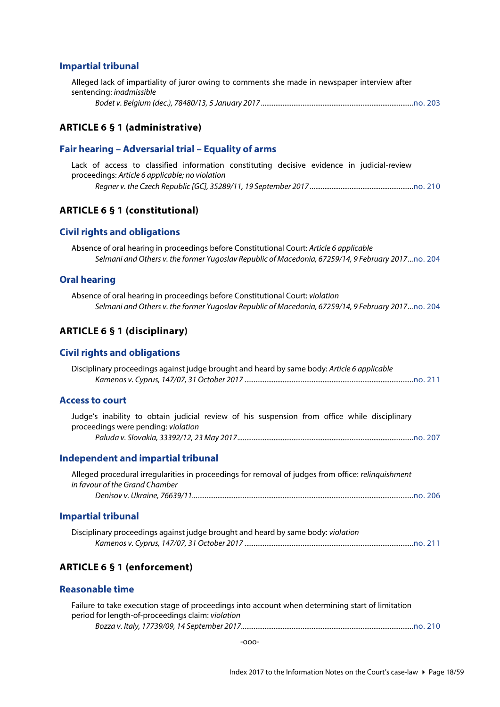#### <span id="page-17-0"></span>**Impartial tribunal**

| Alleged lack of impartiality of juror owing to comments she made in newspaper interview after |  |
|-----------------------------------------------------------------------------------------------|--|
| sentencing: <i>inadmissible</i>                                                               |  |
|                                                                                               |  |

#### <span id="page-17-1"></span>**ARTICLE 6 § 1 (administrative)**

#### <span id="page-17-2"></span>**Fair hearing – Adversarial trial – Equality of arms**

Lack of access to classified information constituting decisive evidence in judicial-review proceedings: *Article 6 applicable; no violation Regner v. the Czech Republic [GC], 35289/11, 19 September 2017 .........................................................*[no. 210](http://www.echr.coe.int/Documents/CLIN_2017_09_210_ENG.pdf)

#### <span id="page-17-3"></span>**ARTICLE 6 § 1 (constitutional)**

#### <span id="page-17-4"></span>**Civil rights and obligations**

| Absence of oral hearing in proceedings before Constitutional Court: Article 6 applicable          |  |
|---------------------------------------------------------------------------------------------------|--|
| Selmani and Others v. the former Yugoslav Republic of Macedonia, 67259/14, 9 February 2017no. 204 |  |

#### <span id="page-17-5"></span>**Oral hearing**

Absence of oral hearing in proceedings before Constitutional Court: *violation Selmani and Others v. the former Yugoslav Republic of Macedonia, 67259/14, 9 February 2017...*[no. 204](http://www.echr.coe.int/Documents/CLIN_2017_02_204_ENG.pdf)

#### <span id="page-17-6"></span>**ARTICLE 6 § 1 (disciplinary)**

#### <span id="page-17-7"></span>**Civil rights and obligations**

| Disciplinary proceedings against judge brought and heard by same body: Article 6 applicable |  |
|---------------------------------------------------------------------------------------------|--|
|                                                                                             |  |

#### <span id="page-17-8"></span>**Access to court**

|                                     |  |  |  |  |  | Judge's inability to obtain judicial review of his suspension from office while disciplinary |  |
|-------------------------------------|--|--|--|--|--|----------------------------------------------------------------------------------------------|--|
| proceedings were pending: violation |  |  |  |  |  |                                                                                              |  |
|                                     |  |  |  |  |  |                                                                                              |  |

#### <span id="page-17-9"></span>**Independent and impartial tribunal**

| Alleged procedural irregularities in proceedings for removal of judges from office: <i>relinguishment</i> |  |
|-----------------------------------------------------------------------------------------------------------|--|
| in favour of the Grand Chamber                                                                            |  |
|                                                                                                           |  |

#### <span id="page-17-10"></span>**Impartial tribunal**

| Disciplinary proceedings against judge brought and heard by same body: violation |  |
|----------------------------------------------------------------------------------|--|
|                                                                                  |  |

#### <span id="page-17-11"></span>**ARTICLE 6 § 1 (enforcement)**

#### <span id="page-17-12"></span>**Reasonable time**

| Failure to take execution stage of proceedings into account when determining start of limitation |  |
|--------------------------------------------------------------------------------------------------|--|
| period for length-of-proceedings claim: violation                                                |  |
|                                                                                                  |  |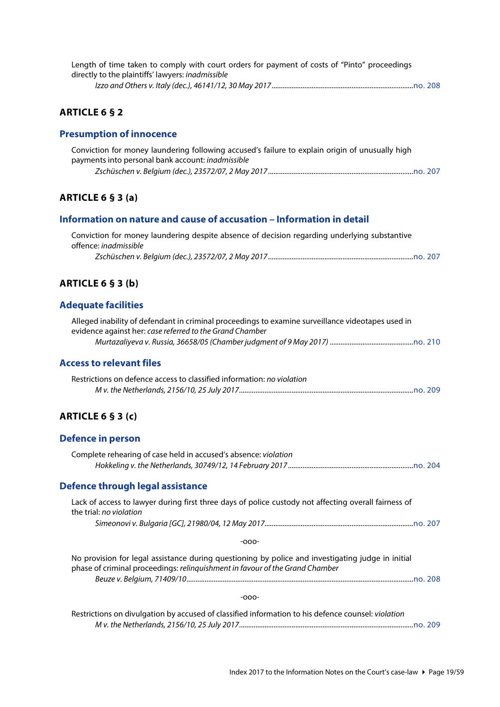| Length of time taken to comply with court orders for payment of costs of "Pinto" proceedings |  |
|----------------------------------------------------------------------------------------------|--|
| directly to the plaintiffs' lawyers: <i>inadmissible</i>                                     |  |
|                                                                                              |  |

### <span id="page-18-0"></span>**ARTICLE 6 § 2**

#### <span id="page-18-1"></span>**Presumption of innocence**

| Conviction for money laundering following accused's failure to explain origin of unusually high |  |
|-------------------------------------------------------------------------------------------------|--|
| payments into personal bank account: <i>inadmissible</i>                                        |  |
|                                                                                                 |  |

#### <span id="page-18-2"></span>**ARTICLE 6 § 3 (a)**

#### <span id="page-18-3"></span>**Information on nature and cause of accusation – Information in detail**

| Conviction for money laundering despite absence of decision regarding underlying substantive |  |
|----------------------------------------------------------------------------------------------|--|
| offence: <i>inadmissible</i>                                                                 |  |
|                                                                                              |  |

### <span id="page-18-4"></span>**ARTICLE 6 § 3 (b)**

#### <span id="page-18-5"></span>**Adequate facilities**

| Alleged inability of defendant in criminal proceedings to examine surveillance videotapes used in |  |
|---------------------------------------------------------------------------------------------------|--|
| evidence against her: case referred to the Grand Chamber                                          |  |
|                                                                                                   |  |

#### <span id="page-18-6"></span>**Access to relevant files**

| Restrictions on defence access to classified information: no violation |  |
|------------------------------------------------------------------------|--|
|                                                                        |  |

### <span id="page-18-7"></span>**ARTICLE 6 § 3 (c)**

#### <span id="page-18-8"></span>**Defence in person**

<span id="page-18-9"></span>

| Complete rehearing of case held in accused's absence: violation                                                                 |  |
|---------------------------------------------------------------------------------------------------------------------------------|--|
| Defence through legal assistance                                                                                                |  |
| Lack of access to lawyer during first three days of police custody not affecting overall fairness of<br>the trial: no violation |  |
|                                                                                                                                 |  |

| No provision for legal assistance during questioning by police and investigating judge in initial |  |
|---------------------------------------------------------------------------------------------------|--|
| phase of criminal proceedings: relinguishment in favour of the Grand Chamber                      |  |
|                                                                                                   |  |
|                                                                                                   |  |
| -000-                                                                                             |  |

| Restrictions on divulgation by accused of classified information to his defence counsel: violation |  |
|----------------------------------------------------------------------------------------------------|--|
|                                                                                                    |  |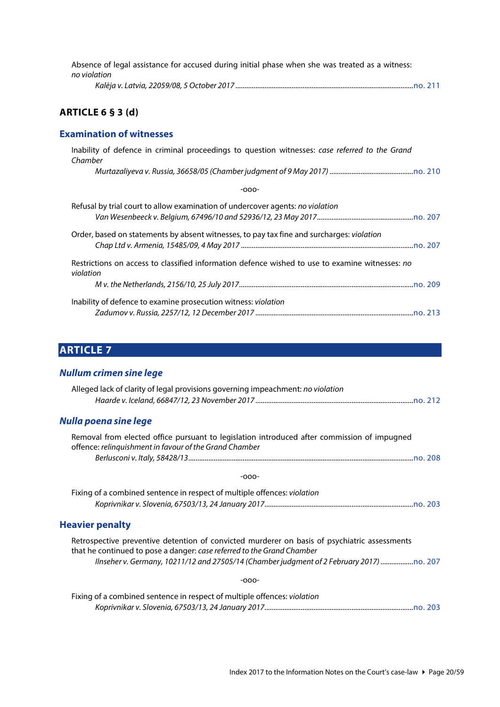| Absence of legal assistance for accused during initial phase when she was treated as a witness: |  |
|-------------------------------------------------------------------------------------------------|--|
| no violation                                                                                    |  |
|                                                                                                 |  |

# <span id="page-19-0"></span>**ARTICLE 6 § 3 (d)**

#### <span id="page-19-1"></span>**Examination of witnesses**

| Inability of defence in criminal proceedings to question witnesses: case referred to the Grand<br>Chamber    |
|--------------------------------------------------------------------------------------------------------------|
|                                                                                                              |
| $-000-$                                                                                                      |
| Refusal by trial court to allow examination of undercover agents: no violation                               |
| Order, based on statements by absent witnesses, to pay tax fine and surcharges: violation                    |
| Restrictions on access to classified information defence wished to use to examine witnesses: no<br>violation |
|                                                                                                              |
| Inability of defence to examine prosecution witness: violation                                               |

# <span id="page-19-2"></span>**ARTICLE 7**

# <span id="page-19-3"></span>*Nullum crimen sine lege*

<span id="page-19-5"></span><span id="page-19-4"></span>

| Alleged lack of clarity of legal provisions governing impeachment: no violation                                                                                        |
|------------------------------------------------------------------------------------------------------------------------------------------------------------------------|
| Nulla poena sine lege                                                                                                                                                  |
| Removal from elected office pursuant to legislation introduced after commission of impugned<br>offence: relinquishment in favour of the Grand Chamber                  |
|                                                                                                                                                                        |
| $-000-$                                                                                                                                                                |
| Fixing of a combined sentence in respect of multiple offences: violation                                                                                               |
| <b>Heavier penalty</b>                                                                                                                                                 |
| Retrospective preventive detention of convicted murderer on basis of psychiatric assessments<br>that he continued to pose a danger: case referred to the Grand Chamber |
| llnseher v. Germany, 10211/12 and 27505/14 (Chamber judgment of 2 February 2017)                                                                                       |
| $-000-$                                                                                                                                                                |
| Fixing of a combined sentence in respect of multiple offences: violation                                                                                               |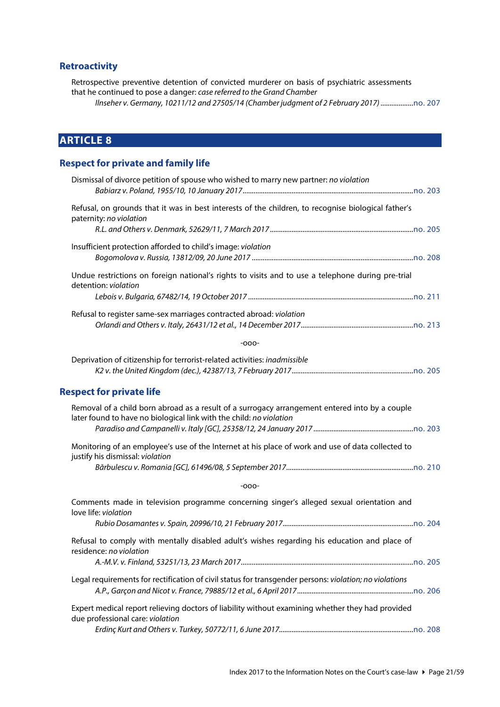# <span id="page-20-0"></span>**Retroactivity**

Retrospective preventive detention of convicted murderer on basis of psychiatric assessments that he continued to pose a danger: *case referred to the Grand Chamber*

*Ilnseher v. Germany, 10211/12 and 27505/14 (Chamber judgment of 2 February 2017) ..................*[no. 207](http://www.echr.coe.int/Documents/CLIN_2017_05_207_ENG.pdf)

# <span id="page-20-1"></span>**ARTICLE 8**

### <span id="page-20-2"></span>**Respect for private and family life**

<span id="page-20-3"></span>

| Dismissal of divorce petition of spouse who wished to marry new partner: no violation                                                                                 |
|-----------------------------------------------------------------------------------------------------------------------------------------------------------------------|
| Refusal, on grounds that it was in best interests of the children, to recognise biological father's<br>paternity: no violation                                        |
|                                                                                                                                                                       |
| Insufficient protection afforded to child's image: violation                                                                                                          |
| Undue restrictions on foreign national's rights to visits and to use a telephone during pre-trial<br>detention: violation                                             |
|                                                                                                                                                                       |
| Refusal to register same-sex marriages contracted abroad: violation                                                                                                   |
| $-000-$                                                                                                                                                               |
| Deprivation of citizenship for terrorist-related activities: inadmissible                                                                                             |
| <b>Respect for private life</b>                                                                                                                                       |
| Removal of a child born abroad as a result of a surrogacy arrangement entered into by a couple<br>later found to have no biological link with the child: no violation |
| Monitoring of an employee's use of the Internet at his place of work and use of data collected to<br>justify his dismissal: violation                                 |
|                                                                                                                                                                       |
| $-000-$                                                                                                                                                               |
| Comments made in television programme concerning singer's alleged sexual orientation and<br>love life: violation                                                      |
|                                                                                                                                                                       |
| Refusal to comply with mentally disabled adult's wishes regarding his education and place of<br>residence: no violation                                               |
|                                                                                                                                                                       |
| Legal requirements for rectification of civil status for transgender persons: violation; no violations                                                                |
| Expert medical report relieving doctors of liability without examining whether they had provided<br>due professional care: violation                                  |
|                                                                                                                                                                       |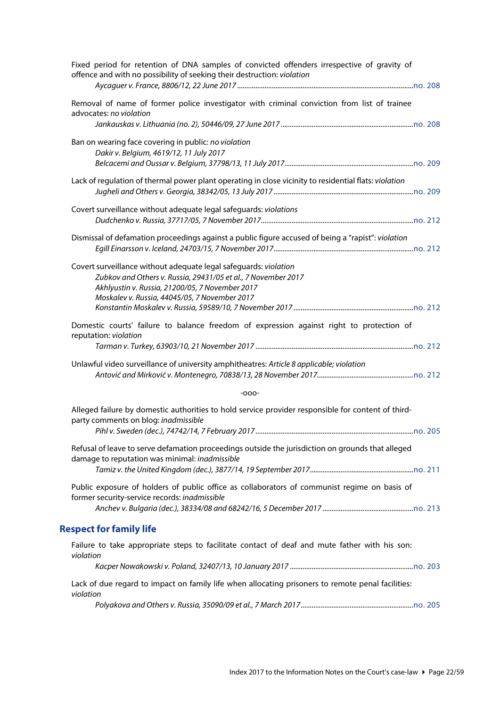<span id="page-21-0"></span>

| Fixed period for retention of DNA samples of convicted offenders irrespective of gravity of<br>offence and with no possibility of seeking their destruction: violation |         |
|------------------------------------------------------------------------------------------------------------------------------------------------------------------------|---------|
| Removal of name of former police investigator with criminal conviction from list of trainee<br>advocates: no violation                                                 |         |
|                                                                                                                                                                        |         |
| Ban on wearing face covering in public: no violation<br>Dakir v. Belgium, 4619/12, 11 July 2017                                                                        |         |
| Lack of regulation of thermal power plant operating in close vicinity to residential flats: violation                                                                  |         |
| Covert surveillance without adequate legal safeguards: violations                                                                                                      |         |
| Dismissal of defamation proceedings against a public figure accused of being a "rapist": violation                                                                     |         |
| Covert surveillance without adequate legal safeguards: violation                                                                                                       |         |
| Zubkov and Others v. Russia, 29431/05 et al., 7 November 2017                                                                                                          |         |
| Akhlyustin v. Russia, 21200/05, 7 November 2017                                                                                                                        |         |
| Moskalev v. Russia, 44045/05, 7 November 2017                                                                                                                          |         |
| Domestic courts' failure to balance freedom of expression against right to protection of<br>reputation: violation                                                      |         |
|                                                                                                                                                                        |         |
| Unlawful video surveillance of university amphitheatres: Article 8 applicable; violation                                                                               |         |
| $-000-$                                                                                                                                                                |         |
| Alleged failure by domestic authorities to hold service provider responsible for content of third-<br>party comments on blog: inadmissible                             |         |
| Pihl v. Sweden (dec.), 74742/14, 7 February 2017                                                                                                                       | no. 205 |
| Refusal of leave to serve defamation proceedings outside the jurisdiction on grounds that alleged<br>damage to reputation was minimal: inadmissible                    |         |
|                                                                                                                                                                        |         |
| Public exposure of holders of public office as collaborators of communist regime on basis of<br>former security-service records: inadmissible                          |         |
|                                                                                                                                                                        |         |
| <b>Respect for family life</b>                                                                                                                                         |         |
| Failure to take appropriate steps to facilitate contact of deaf and mute father with his son:<br>violation                                                             |         |
|                                                                                                                                                                        |         |
| Lack of due regard to impact on family life when allocating prisoners to remote penal facilities:<br>violation                                                         |         |
|                                                                                                                                                                        |         |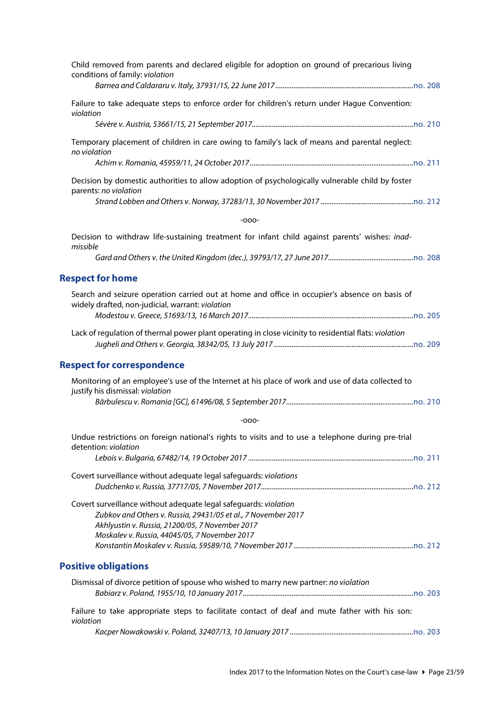<span id="page-22-2"></span><span id="page-22-1"></span><span id="page-22-0"></span>

| Child removed from parents and declared eligible for adoption on ground of precarious living<br>conditions of family: violation                                                                                                       |  |
|---------------------------------------------------------------------------------------------------------------------------------------------------------------------------------------------------------------------------------------|--|
| Failure to take adequate steps to enforce order for children's return under Hague Convention:<br>violation                                                                                                                            |  |
|                                                                                                                                                                                                                                       |  |
| Temporary placement of children in care owing to family's lack of means and parental neglect:<br>no violation                                                                                                                         |  |
|                                                                                                                                                                                                                                       |  |
| Decision by domestic authorities to allow adoption of psychologically vulnerable child by foster<br>parents: no violation                                                                                                             |  |
|                                                                                                                                                                                                                                       |  |
| $-000-$                                                                                                                                                                                                                               |  |
| Decision to withdraw life-sustaining treatment for infant child against parents' wishes: inad-<br>missible                                                                                                                            |  |
|                                                                                                                                                                                                                                       |  |
| <b>Respect for home</b>                                                                                                                                                                                                               |  |
| Search and seizure operation carried out at home and office in occupier's absence on basis of<br>widely drafted, non-judicial, warrant: violation                                                                                     |  |
| Lack of regulation of thermal power plant operating in close vicinity to residential flats: violation                                                                                                                                 |  |
| <b>Respect for correspondence</b>                                                                                                                                                                                                     |  |
| Monitoring of an employee's use of the Internet at his place of work and use of data collected to<br>justify his dismissal: violation                                                                                                 |  |
|                                                                                                                                                                                                                                       |  |
| $-000-$                                                                                                                                                                                                                               |  |
| Undue restrictions on foreign national's rights to visits and to use a telephone during pre-trial<br>detention: violation                                                                                                             |  |
|                                                                                                                                                                                                                                       |  |
| Covert surveillance without adequate legal safeguards: violations                                                                                                                                                                     |  |
| Covert surveillance without adequate legal safeguards: violation<br>Zubkov and Others v. Russia, 29431/05 et al., 7 November 2017<br>Akhlyustin v. Russia, 21200/05, 7 November 2017<br>Moskalev v. Russia, 44045/05, 7 November 2017 |  |
| <b>Positive obligations</b>                                                                                                                                                                                                           |  |
| Dismissal of divorce petition of spouse who wished to marry new partner: no violation                                                                                                                                                 |  |
| Failure to take appropriate steps to facilitate contact of deaf and mute father with his son:<br>violation                                                                                                                            |  |
|                                                                                                                                                                                                                                       |  |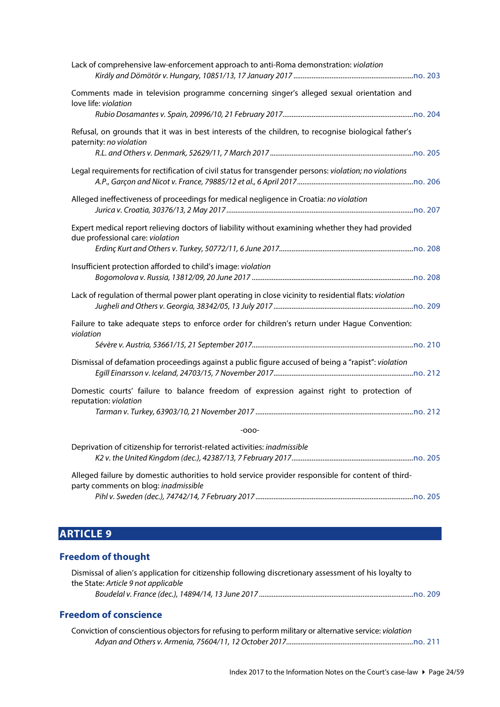| Lack of comprehensive law-enforcement approach to anti-Roma demonstration: violation                                                       |
|--------------------------------------------------------------------------------------------------------------------------------------------|
| Comments made in television programme concerning singer's alleged sexual orientation and<br>love life: violation                           |
| Refusal, on grounds that it was in best interests of the children, to recognise biological father's<br>paternity: no violation             |
| Legal requirements for rectification of civil status for transgender persons: violation; no violations                                     |
| Alleged ineffectiveness of proceedings for medical negligence in Croatia: no violation                                                     |
| Expert medical report relieving doctors of liability without examining whether they had provided<br>due professional care: violation       |
| Insufficient protection afforded to child's image: violation                                                                               |
| Lack of regulation of thermal power plant operating in close vicinity to residential flats: violation                                      |
| Failure to take adequate steps to enforce order for children's return under Hague Convention:<br>violation                                 |
|                                                                                                                                            |
| Dismissal of defamation proceedings against a public figure accused of being a "rapist": violation                                         |
| Domestic courts' failure to balance freedom of expression against right to protection of<br>reputation: violation                          |
| $-000-$                                                                                                                                    |
| Deprivation of citizenship for terrorist-related activities: inadmissible                                                                  |
| Alleged failure by domestic authorities to hold service provider responsible for content of third-<br>party comments on blog: inadmissible |

*Pihl v. Sweden (dec.), 74742/14, 7 February 2017 .......................................................................................*[no. 205](http://www.echr.coe.int/Documents/CLIN_2017_03_205_ENG.pdf)

# <span id="page-23-0"></span>**ARTICLE 9**

# <span id="page-23-1"></span>**Freedom of thought**

| Dismissal of alien's application for citizenship following discretionary assessment of his loyalty to |
|-------------------------------------------------------------------------------------------------------|
| the State: Article 9 not applicable                                                                   |
|                                                                                                       |

# <span id="page-23-2"></span>**Freedom of conscience**

| Conviction of conscientious objectors for refusing to perform military or alternative service: violation |  |
|----------------------------------------------------------------------------------------------------------|--|
|                                                                                                          |  |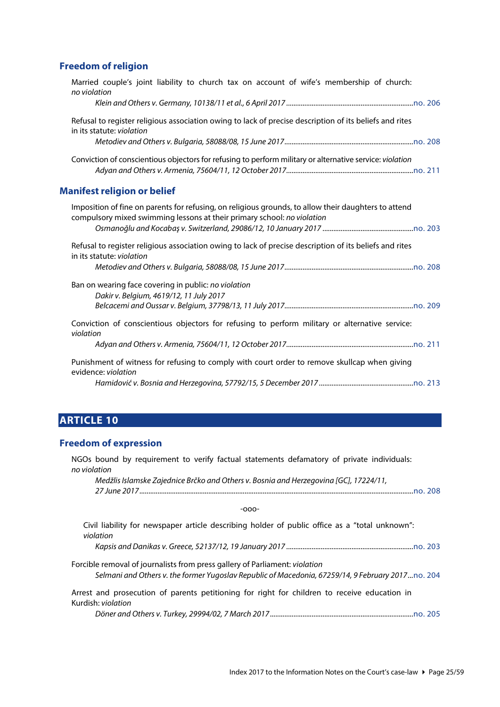#### <span id="page-24-0"></span>**Freedom of religion**

<span id="page-24-1"></span>

| Married couple's joint liability to church tax on account of wife's membership of church:<br>no violation                                                                       |
|---------------------------------------------------------------------------------------------------------------------------------------------------------------------------------|
| Refusal to register religious association owing to lack of precise description of its beliefs and rites<br>in its statute: violation                                            |
| Conviction of conscientious objectors for refusing to perform military or alternative service: violation                                                                        |
| <b>Manifest religion or belief</b>                                                                                                                                              |
| Imposition of fine on parents for refusing, on religious grounds, to allow their daughters to attend<br>compulsory mixed swimming lessons at their primary school: no violation |
| Refusal to register religious association owing to lack of precise description of its beliefs and rites<br>in its statute: violation                                            |
| Ban on wearing face covering in public: no violation<br>Dakir v. Belgium, 4619/12, 11 July 2017                                                                                 |
| Conviction of conscientious objectors for refusing to perform military or alternative service:<br>violation                                                                     |
| Punishment of witness for refusing to comply with court order to remove skullcap when giving<br>evidence: violation                                                             |
|                                                                                                                                                                                 |

# <span id="page-24-2"></span>**ARTICLE 10**

#### <span id="page-24-3"></span>**Freedom of expression**

NGOs bound by requirement to verify factual statements defamatory of private individuals: *no violation*

*Medžlis Islamske Zajednice Brčko and Others v. Bosnia and Herzegovina [GC], 17224/11, 27 June 2017.......................................................................................................................................................*[no. 208](http://www.echr.coe.int/Documents/CLIN_2017_06_208_ENG.pdf)

-ooo-

Civil liability for newspaper article describing holder of public office as a "total unknown": *violation Kapsis and Danikas v. Greece, 52137/12, 19 January 2017 ......................................................................*[no. 203](http://www.echr.coe.int/Documents/CLIN_2017_01_203_ENG.pdf) Forcible removal of journalists from press gallery of Parliament: *violation Selmani and Others v. the former Yugoslav Republic of Macedonia, 67259/14, 9 February 2017...*[no. 204](http://www.echr.coe.int/Documents/CLIN_2017_02_204_ENG.pdf) Arrest and prosecution of parents petitioning for right for children to receive education in Kurdish: *violation*

*Döner and Others v. Turkey, 29994/02, 7 March 2017...............................................................................*[no. 205](http://www.echr.coe.int/Documents/CLIN_2017_03_205_ENG.pdf)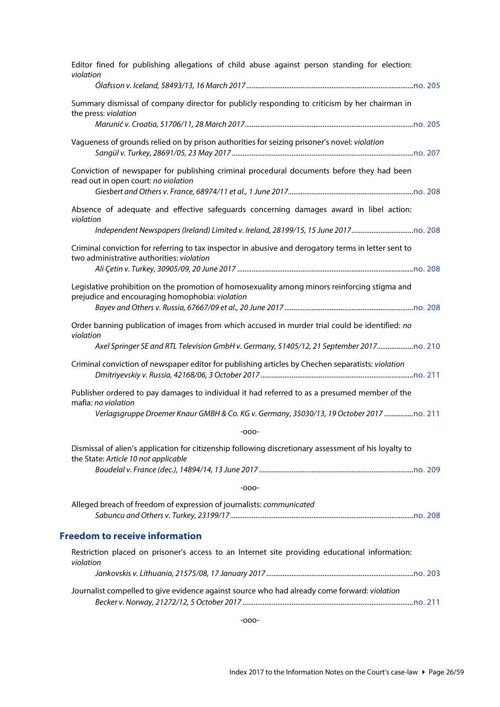<span id="page-25-0"></span>

| Editor fined for publishing allegations of child abuse against person standing for election:<br>violation                                         |
|---------------------------------------------------------------------------------------------------------------------------------------------------|
|                                                                                                                                                   |
| Summary dismissal of company director for publicly responding to criticism by her chairman in<br>the press: violation                             |
|                                                                                                                                                   |
| Vagueness of grounds relied on by prison authorities for seizing prisoner's novel: violation                                                      |
| Conviction of newspaper for publishing criminal procedural documents before they had been<br>read out in open court: no violation                 |
|                                                                                                                                                   |
| Absence of adequate and effective safeguards concerning damages award in libel action:<br>violation                                               |
|                                                                                                                                                   |
| Criminal conviction for referring to tax inspector in abusive and derogatory terms in letter sent to<br>two administrative authorities: violation |
|                                                                                                                                                   |
| Legislative prohibition on the promotion of homosexuality among minors reinforcing stigma and<br>prejudice and encouraging homophobia: violation  |
|                                                                                                                                                   |
| Order banning publication of images from which accused in murder trial could be identified: no<br>violation                                       |
| Axel Springer SE and RTL Television GmbH v. Germany, 51405/12, 21 September 2017                                                                  |
| Criminal conviction of newspaper editor for publishing articles by Chechen separatists: violation                                                 |
| Publisher ordered to pay damages to individual it had referred to as a presumed member of the<br>mafia: no violation                              |
| Verlagsgruppe Droemer Knaur GMBH & Co. KG v. Germany, 35030/13, 19 October 2017  0. 211                                                           |
| $-000-$                                                                                                                                           |
| Dismissal of alien's application for citizenship following discretionary assessment of his loyalty to<br>the State: Article 10 not applicable     |
|                                                                                                                                                   |
| $-000-$                                                                                                                                           |
| Alleged breach of freedom of expression of journalists: communicated                                                                              |
| <b>Freedom to receive information</b>                                                                                                             |
| Restriction placed on prisoner's access to an Internet site providing educational information:<br>violation                                       |
|                                                                                                                                                   |
| Journalist compelled to give evidence against source who had already come forward: violation                                                      |
|                                                                                                                                                   |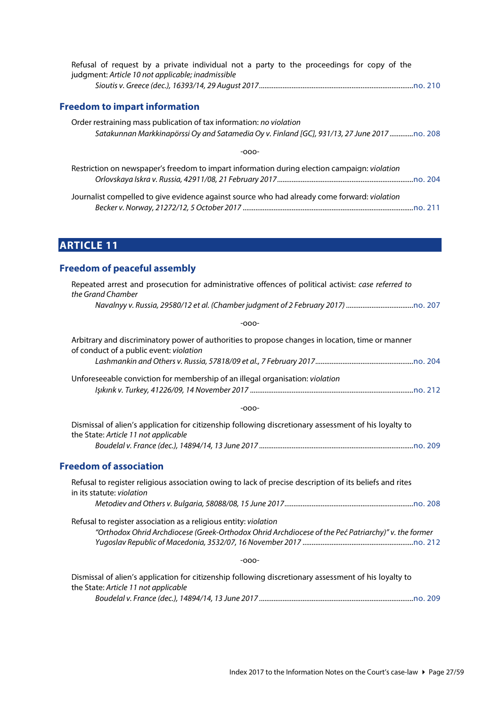<span id="page-26-0"></span>

| Refusal of request by a private individual not a party to the proceedings for copy of the<br>judgment: Article 10 not applicable; inadmissible                     |
|--------------------------------------------------------------------------------------------------------------------------------------------------------------------|
|                                                                                                                                                                    |
| <b>Freedom to impart information</b>                                                                                                                               |
| Order restraining mass publication of tax information: no violation<br>Satakunnan Markkinapörssi Oy and Satamedia Oy v. Finland [GC], 931/13, 27 June 2017 no. 208 |
| -റററ-                                                                                                                                                              |

|  |  |  | Restriction on newspaper's freedom to impart information during election campaign: violation |  |  |
|--|--|--|----------------------------------------------------------------------------------------------|--|--|
|  |  |  |                                                                                              |  |  |
|  |  |  |                                                                                              |  |  |

Journalist compelled to give evidence against source who had already come forward: *violation Becker v. Norway, 21272/12, 5 October 2017 ..............................................................................................*[no. 211](http://www.echr.coe.int/Documents/CLIN_2017_10_211_ENG.pdf)

# <span id="page-26-1"></span>**ARTICLE 11**

## <span id="page-26-2"></span>**Freedom of peaceful assembly**

| Repeated arrest and prosecution for administrative offences of political activist: case referred to<br>the Grand Chamber                      |
|-----------------------------------------------------------------------------------------------------------------------------------------------|
|                                                                                                                                               |
| $-000-$                                                                                                                                       |
| Arbitrary and discriminatory power of authorities to propose changes in location, time or manner<br>of conduct of a public event: violation   |
|                                                                                                                                               |
| Unforeseeable conviction for membership of an illegal organisation: violation                                                                 |
| $-000-$                                                                                                                                       |
| Dismissal of alien's application for citizenship following discretionary assessment of his loyalty to<br>the State: Article 11 not applicable |
|                                                                                                                                               |
| <b>Freedom of association</b>                                                                                                                 |
| Refusal to register religious association owing to lack of precise description of its beliefs and rites<br>in its statute: violation          |
|                                                                                                                                               |
| Refusal to register association as a religious entity: violation                                                                              |
| "Orthodox Ohrid Archdiocese (Greek-Orthodox Ohrid Archdiocese of the Peć Patriarchy)" v. the former                                           |
| $-000-$                                                                                                                                       |
| Dismissal of alien's application for citizenship following discretionary assessment of his loyalty to<br>the State: Article 11 not applicable |

<span id="page-26-3"></span>*Boudelal v. France (dec.), 14894/14, 13 June 2017 .....................................................................................*[no. 209](http://www.echr.coe.int/Documents/CLIN_2017_07_209_ENG.pdf)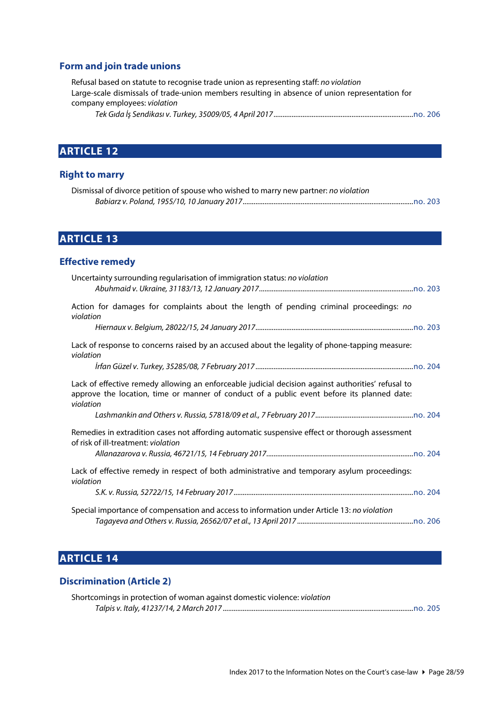#### <span id="page-27-0"></span>**Form and join trade unions**

Refusal based on statute to recognise trade union as representing staff: *no violation* Large-scale dismissals of trade-union members resulting in absence of union representation for company employees: *violation*

#### *Tek Gıda İş Sendikası v. Turkey, 35009/05, 4 April 2017.............................................................................*[no. 206](http://www.echr.coe.int/Documents/CLIN_2017_04_206_ENG.pdf)

# <span id="page-27-1"></span>**ARTICLE 12**

#### <span id="page-27-2"></span>**Right to marry**

| Dismissal of divorce petition of spouse who wished to marry new partner: no violation |  |
|---------------------------------------------------------------------------------------|--|
|                                                                                       |  |

# <span id="page-27-3"></span>**ARTICLE 13**

#### <span id="page-27-4"></span>**Effective remedy**

| Uncertainty surrounding regularisation of immigration status: no violation                                                                                                                                    |
|---------------------------------------------------------------------------------------------------------------------------------------------------------------------------------------------------------------|
| Action for damages for complaints about the length of pending criminal proceedings: no<br>violation                                                                                                           |
|                                                                                                                                                                                                               |
| Lack of response to concerns raised by an accused about the legality of phone-tapping measure:<br>violation                                                                                                   |
|                                                                                                                                                                                                               |
| Lack of effective remedy allowing an enforceable judicial decision against authorities' refusal to<br>approve the location, time or manner of conduct of a public event before its planned date:<br>violation |
|                                                                                                                                                                                                               |
| Remedies in extradition cases not affording automatic suspensive effect or thorough assessment<br>of risk of ill-treatment: violation                                                                         |
|                                                                                                                                                                                                               |
| Lack of effective remedy in respect of both administrative and temporary asylum proceedings:<br>violation                                                                                                     |
|                                                                                                                                                                                                               |
| Special importance of compensation and access to information under Article 13: no violation                                                                                                                   |
|                                                                                                                                                                                                               |

# <span id="page-27-5"></span>**ARTICLE 14**

#### <span id="page-27-6"></span>**Discrimination (Article 2)**

| Shortcomings in protection of woman against domestic violence: violation |  |
|--------------------------------------------------------------------------|--|
|                                                                          |  |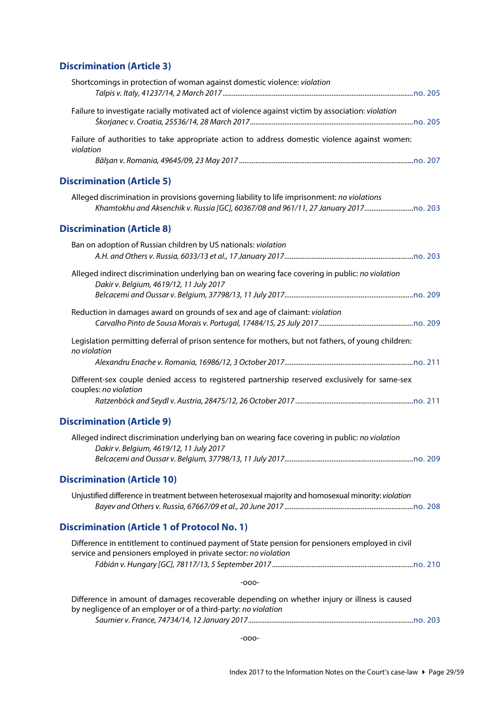# <span id="page-28-0"></span>**Discrimination (Article 3)**

<span id="page-28-5"></span><span id="page-28-4"></span><span id="page-28-3"></span><span id="page-28-2"></span><span id="page-28-1"></span>

| Shortcomings in protection of woman against domestic violence: violation                                                                                                     |
|------------------------------------------------------------------------------------------------------------------------------------------------------------------------------|
| Failure to investigate racially motivated act of violence against victim by association: violation                                                                           |
| Failure of authorities to take appropriate action to address domestic violence against women:<br>violation                                                                   |
| <b>Discrimination (Article 5)</b>                                                                                                                                            |
| Alleged discrimination in provisions governing liability to life imprisonment: no violations<br>Khamtokhu and Aksenchik v. Russia [GC], 60367/08 and 961/11, 27 January 2017 |
| <b>Discrimination (Article 8)</b>                                                                                                                                            |
| Ban on adoption of Russian children by US nationals: violation                                                                                                               |
| Alleged indirect discrimination underlying ban on wearing face covering in public: no violation<br>Dakir v. Belgium, 4619/12, 11 July 2017                                   |
| Reduction in damages award on grounds of sex and age of claimant: violation                                                                                                  |
| Legislation permitting deferral of prison sentence for mothers, but not fathers, of young children:<br>no violation                                                          |
|                                                                                                                                                                              |
| Different-sex couple denied access to registered partnership reserved exclusively for same-sex<br>couples: no violation                                                      |
| <b>Discrimination (Article 9)</b>                                                                                                                                            |
| Alleged indirect discrimination underlying ban on wearing face covering in public: no violation<br>Dakir v. Belgium, 4619/12, 11 July 2017                                   |
| <b>Discrimination (Article 10)</b>                                                                                                                                           |
| Unjustified difference in treatment between heterosexual majority and homosexual minority: violation                                                                         |
| <b>Discrimination (Article 1 of Protocol No. 1)</b>                                                                                                                          |
| Difference in entitlement to continued payment of State pension for pensioners employed in civil<br>service and pensioners employed in private sector: no violation          |
| $-000-$                                                                                                                                                                      |
| Difference in amount of damages recoverable depending on whether injury or illness is caused<br>by negligence of an employer or of a third-party: no violation               |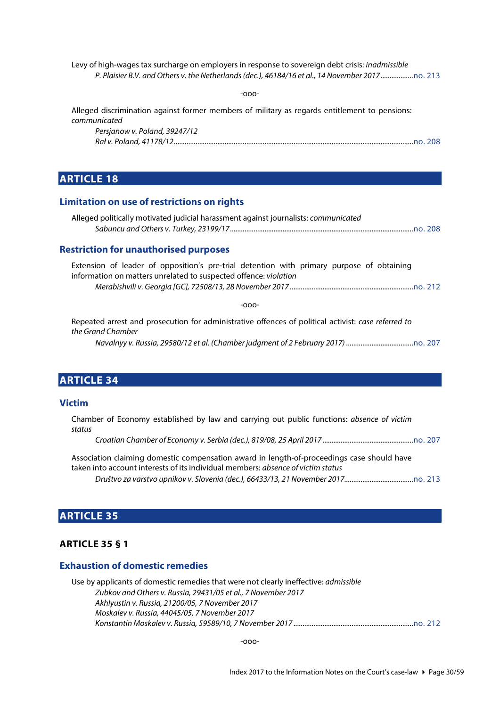Levy of high-wages tax surcharge on employers in response to sovereign debt crisis: *inadmissible P. Plaisier B.V. and Others v. the Netherlands (dec.), 46184/16 et al., 14 November 2017..................*[no. 213](http://www.echr.coe.int/Documents/CLIN_2017_12_213_ENG.pdf)

-ooo-

Alleged discrimination against former members of military as regards entitlement to pensions: *communicated*

| Persjanow v. Poland, 39247/12 |  |
|-------------------------------|--|
|                               |  |

### <span id="page-29-0"></span>**ARTICLE 18**

#### <span id="page-29-1"></span>**Limitation on use of restrictions on rights**

| Alleged politically motivated judicial harassment against journalists: communicated |  |
|-------------------------------------------------------------------------------------|--|
|                                                                                     |  |

#### <span id="page-29-2"></span>**Restriction for unauthorised purposes**

|  |  | Extension of leader of opposition's pre-trial detention with primary purpose of obtaining |  |  |  |  |
|--|--|-------------------------------------------------------------------------------------------|--|--|--|--|
|  |  | information on matters unrelated to suspected offence: violation                          |  |  |  |  |
|  |  |                                                                                           |  |  |  |  |

-ooo-

|                   |  |  |  | Repeated arrest and prosecution for administrative offences of political activist: case referred to |  |
|-------------------|--|--|--|-----------------------------------------------------------------------------------------------------|--|
| the Grand Chamber |  |  |  |                                                                                                     |  |
|                   |  |  |  |                                                                                                     |  |

### <span id="page-29-3"></span>**ARTICLE 34**

#### <span id="page-29-4"></span>**Victim**

Chamber of Economy established by law and carrying out public functions: *absence of victim status*

*Croatian Chamber of Economy v. Serbia (dec.), 819/08, 25 April 2017 ..................................................*[no. 207](http://www.echr.coe.int/Documents/CLIN_2017_05_207_ENG.pdf)

Association claiming domestic compensation award in length-of-proceedings case should have taken into account interests of its individual members: *absence of victim status Društvo za varstvo upnikov v. Slovenia (dec.), 66433/13, 21 November 2017......................................*[no. 213](http://www.echr.coe.int/Documents/CLIN_2017_12_213_ENG.pdf)

### <span id="page-29-5"></span>**ARTICLE 35**

#### <span id="page-29-6"></span>**ARTICLE 35 § 1**

#### <span id="page-29-7"></span>**Exhaustion of domestic remedies**

Use by applicants of domestic remedies that were not clearly ineffective: *admissible Zubkov and Others v. Russia, 29431/05 et al., 7 November 2017 Akhlyustin v. Russia, 21200/05, 7 November 2017 Moskalev v. Russia, 44045/05, 7 November 2017 Konstantin Moskalev v. Russia, 59589/10, 7 November 2017 ..................................................................*[no. 212](http://www.echr.coe.int/Documents/CLIN_2017_11_212_ENG.pdf)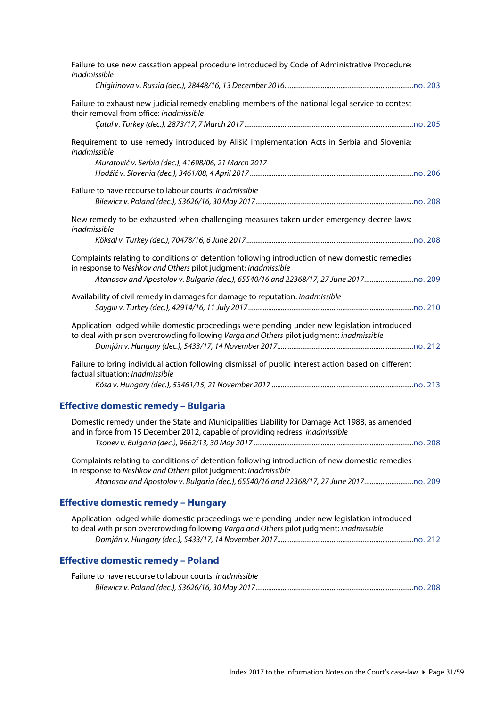<span id="page-30-2"></span><span id="page-30-1"></span><span id="page-30-0"></span>

| Failure to use new cassation appeal procedure introduced by Code of Administrative Procedure:<br>inadmissible                                                                                                                                      |
|----------------------------------------------------------------------------------------------------------------------------------------------------------------------------------------------------------------------------------------------------|
|                                                                                                                                                                                                                                                    |
| Failure to exhaust new judicial remedy enabling members of the national legal service to contest<br>their removal from office: inadmissible                                                                                                        |
| Requirement to use remedy introduced by Ališić Implementation Acts in Serbia and Slovenia:<br>inadmissible<br>Muratović v. Serbia (dec.), 41698/06, 21 March 2017                                                                                  |
| Failure to have recourse to labour courts: inadmissible                                                                                                                                                                                            |
| New remedy to be exhausted when challenging measures taken under emergency decree laws:<br>inadmissible                                                                                                                                            |
|                                                                                                                                                                                                                                                    |
| Complaints relating to conditions of detention following introduction of new domestic remedies<br>in response to Neshkov and Others pilot judgment: inadmissible<br>Atanasov and Apostolov v. Bulgaria (dec.), 65540/16 and 22368/17, 27 June 2017 |
| Availability of civil remedy in damages for damage to reputation: inadmissible                                                                                                                                                                     |
| Application lodged while domestic proceedings were pending under new legislation introduced<br>to deal with prison overcrowding following Varga and Others pilot judgment: inadmissible                                                            |
| Failure to bring individual action following dismissal of public interest action based on different<br>factual situation: inadmissible                                                                                                             |
| <b>Effective domestic remedy - Bulgaria</b>                                                                                                                                                                                                        |
| Domestic remedy under the State and Municipalities Liability for Damage Act 1988, as amended<br>and in force from 15 December 2012, capable of providing redress: inadmissible                                                                     |
| Complaints relating to conditions of detention following introduction of new domestic remedies<br>in response to Neshkov and Others pilot judgment: inadmissible<br>Atanasov and Apostolov v. Bulgaria (dec.), 65540/16 and 22368/17, 27 June 2017 |
| <b>Effective domestic remedy – Hungary</b>                                                                                                                                                                                                         |
| Application lodged while domestic proceedings were pending under new legislation introduced<br>to deal with prison overcrowding following Varga and Others pilot judgment: inadmissible                                                            |
| <b>Effective domestic remedy - Poland</b>                                                                                                                                                                                                          |
| Failure to have recourse to labour courts: inadmissible                                                                                                                                                                                            |
|                                                                                                                                                                                                                                                    |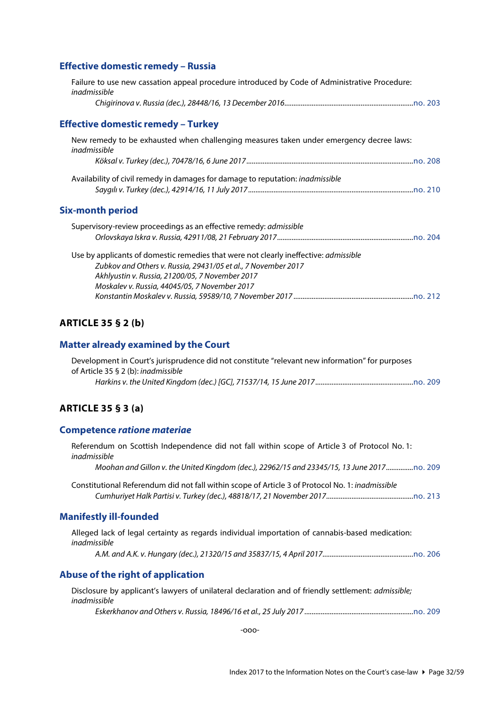#### <span id="page-31-0"></span>**Effective domestic remedy – Russia**

<span id="page-31-1"></span>

| Failure to use new cassation appeal procedure introduced by Code of Administrative Procedure:<br>inadmissible                                                                                                                                                    |
|------------------------------------------------------------------------------------------------------------------------------------------------------------------------------------------------------------------------------------------------------------------|
|                                                                                                                                                                                                                                                                  |
| Effective domestic remedy – Turkey                                                                                                                                                                                                                               |
| New remedy to be exhausted when challenging measures taken under emergency decree laws:<br>inadmissible                                                                                                                                                          |
|                                                                                                                                                                                                                                                                  |
| Availability of civil remedy in damages for damage to reputation: <i>inadmissible</i>                                                                                                                                                                            |
| Six-month period                                                                                                                                                                                                                                                 |
| Supervisory-review proceedings as an effective remedy: <i>admissible</i>                                                                                                                                                                                         |
|                                                                                                                                                                                                                                                                  |
| Use by applicants of domestic remedies that were not clearly ineffective: <i>admissible</i><br>Zubkov and Others v. Russia, 29431/05 et al., 7 November 2017<br>Akhlyustin v. Russia, 21200/05, 7 November 2017<br>Moskalev v. Russia, 44045/05, 7 November 2017 |
|                                                                                                                                                                                                                                                                  |

#### <span id="page-31-3"></span><span id="page-31-2"></span>**ARTICLE 35 § 2 (b)**

#### <span id="page-31-4"></span>**Matter already examined by the Court**

| Development in Court's jurisprudence did not constitute "relevant new information" for purposes |  |
|-------------------------------------------------------------------------------------------------|--|
| of Article 35 § 2 (b): <i>ingdmissible</i>                                                      |  |
|                                                                                                 |  |

#### <span id="page-31-5"></span>**ARTICLE 35 § 3 (a)**

#### <span id="page-31-6"></span>**Competence** *ratione materiae*

Referendum on Scottish Independence did not fall within scope of Article 3 of Protocol No. 1: *inadmissible*

*Moohan and Gillon v. the United Kingdom (dec.), 22962/15 and 23345/15, 13 June 2017...............*[no. 209](http://www.echr.coe.int/Documents/CLIN_2017_07_209_ENG.pdf)

Constitutional Referendum did not fall within scope of Article 3 of Protocol No. 1: *inadmissible Cumhuriyet Halk Partisi v. Turkey (dec.), 48818/17, 21 November 2017................................................*[no. 213](http://www.echr.coe.int/Documents/CLIN_2017_12_213_ENG.pdf)

#### <span id="page-31-7"></span>**Manifestly ill-founded**

Alleged lack of legal certainty as regards individual importation of cannabis-based medication: *inadmissible*

*A.M. and A.K. v. Hungary (dec.), 21320/15 and 35837/15, 4 April 2017..................................................*[no. 206](http://www.echr.coe.int/Documents/CLIN_2017_04_206_ENG.pdf)

#### <span id="page-31-8"></span>**Abuse of the right of application**

Disclosure by applicant's lawyers of unilateral declaration and of friendly settlement: *admissible; inadmissible*

*Eskerkhanov and Others v. Russia, 18496/16 et al., 25 July 2017 ............................................................*[no. 209](http://www.echr.coe.int/Documents/CLIN_2017_07_209_ENG.pdf)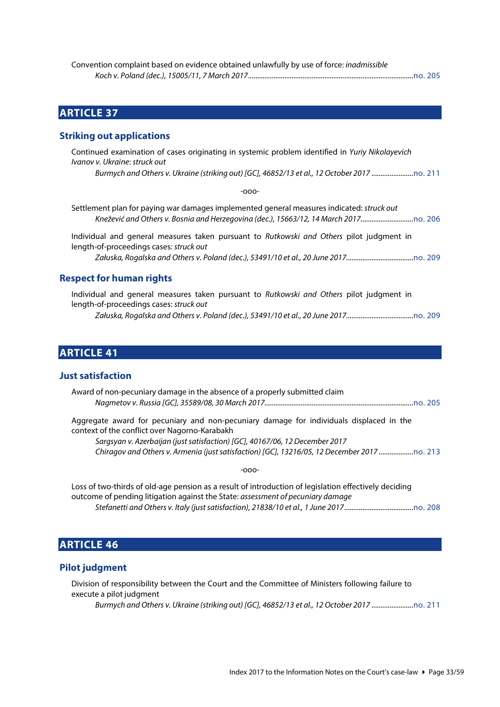| Convention complaint based on evidence obtained unlawfully by use of force: inadmissible |  |
|------------------------------------------------------------------------------------------|--|
|                                                                                          |  |

### <span id="page-32-0"></span>**ARTICLE 37**

#### <span id="page-32-1"></span>**Striking out applications**

Continued examination of cases originating in systemic problem identified in *Yuriy Nikolayevich Ivanov v. Ukraine*: *struck out*

*Burmych and Others v. Ukraine (striking out) [GC], 46852/13 et al., 12 October 2017 .......................*[no. 211](http://www.echr.coe.int/Documents/CLIN_2017_10_211_ENG.pdf)

-ooo-

Settlement plan for paying war damages implemented general measures indicated: *struck out Knežević and Others v. Bosnia and Herzegovina (dec.), 15663/12, 14 March 2017.............................*[no. 206](http://www.echr.coe.int/Documents/CLIN_2017_04_206_ENG.pdf)

Individual and general measures taken pursuant to *Rutkowski and Others* pilot judgment in length-of-proceedings cases: *struck out*

*Załuska, Rogalska and Others v. Poland (dec.), 53491/10 et al., 20 June 2017.....................................*[no. 209](http://www.echr.coe.int/Documents/CLIN_2017_07_209_ENG.pdf)

#### <span id="page-32-2"></span>**Respect for human rights**

Individual and general measures taken pursuant to *Rutkowski and Others* pilot judgment in length-of-proceedings cases: *struck out*

*Załuska, Rogalska and Others v. Poland (dec.), 53491/10 et al., 20 June 2017.....................................*[no. 209](http://www.echr.coe.int/Documents/CLIN_2017_07_209_ENG.pdf)

# <span id="page-32-3"></span>**ARTICLE 41**

#### <span id="page-32-4"></span>**Just satisfaction**

| Award of non-pecuniary damage in the absence of a properly submitted claim                                                               |  |
|------------------------------------------------------------------------------------------------------------------------------------------|--|
|                                                                                                                                          |  |
| Aggregate award for pecuniary and non-pecuniary damage for individuals displaced in the<br>context of the conflict over Nagorno-Karabakh |  |

*Sargsyan v. Azerbaijan (just satisfaction) [GC], 40167/06, 12 December 2017 Chiragov and Others v. Armenia (just satisfaction) [GC], 13216/05, 12 December 2017 ...................*[no. 213](http://www.echr.coe.int/Documents/CLIN_2017_12_213_ENG.pdf)

-ooo-

Loss of two-thirds of old-age pension as a result of introduction of legislation effectively deciding outcome of pending litigation against the State: *assessment of pecuniary damage Stefanetti and Others v. Italy (just satisfaction), 21838/10 et al., 1 June 2017......................................*[no. 208](http://www.echr.coe.int/Documents/CLIN_2017_06_208_ENG.pdf)

### <span id="page-32-5"></span>**ARTICLE 46**

#### <span id="page-32-6"></span>**Pilot judgment**

Division of responsibility between the Court and the Committee of Ministers following failure to execute a pilot judgment

*Burmych and Others v. Ukraine (striking out) [GC], 46852/13 et al., 12 October 2017 .......................*[no. 211](http://www.echr.coe.int/Documents/CLIN_2017_10_211_ENG.pdf)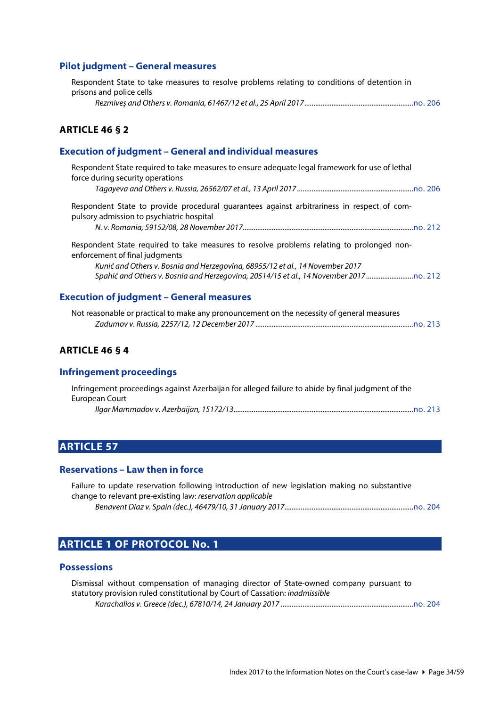### <span id="page-33-0"></span>**Pilot judgment – General measures**

| Respondent State to take measures to resolve problems relating to conditions of detention in |  |
|----------------------------------------------------------------------------------------------|--|
| prisons and police cells                                                                     |  |
|                                                                                              |  |

#### <span id="page-33-1"></span>**ARTICLE 46 § 2**

### <span id="page-33-2"></span>**Execution of judgment – General and individual measures**

| Respondent State required to take measures to ensure adequate legal framework for use of lethal<br>force during security operations     |                                                                                |
|-----------------------------------------------------------------------------------------------------------------------------------------|--------------------------------------------------------------------------------|
|                                                                                                                                         |                                                                                |
| Respondent State to provide procedural quarantees against arbitrariness in respect of com-<br>pulsory admission to psychiatric hospital |                                                                                |
|                                                                                                                                         |                                                                                |
| Respondent State required to take measures to resolve problems relating to prolonged non-<br>enforcement of final judgments             |                                                                                |
| Kunić and Others v. Bosnia and Herzegovina, 68955/12 et al., 14 November 2017                                                           |                                                                                |
|                                                                                                                                         | Spahić and Others v. Bosnia and Herzegovina, 20514/15 et al., 14 November 2017 |
|                                                                                                                                         |                                                                                |
| <b>Execution of judgment - General measures</b>                                                                                         |                                                                                |

<span id="page-33-3"></span>

| Not reasonable or practical to make any pronouncement on the necessity of general measures |  |
|--------------------------------------------------------------------------------------------|--|
|                                                                                            |  |

# <span id="page-33-4"></span>**ARTICLE 46 § 4**

### <span id="page-33-5"></span>**Infringement proceedings**

| Infringement proceedings against Azerbaijan for alleged failure to abide by final judgment of the |  |
|---------------------------------------------------------------------------------------------------|--|
| European Court                                                                                    |  |
|                                                                                                   |  |

### <span id="page-33-6"></span>**ARTICLE 57**

#### <span id="page-33-7"></span>**Reservations – Law then in force**

| Failure to update reservation following introduction of new legislation making no substantive |  |
|-----------------------------------------------------------------------------------------------|--|
| change to relevant pre-existing law: reservation applicable                                   |  |
|                                                                                               |  |

# <span id="page-33-8"></span>**ARTICLE 1 OF PROTOCOL No. 1**

#### <span id="page-33-9"></span>**Possessions**

| Dismissal without compensation of managing director of State-owned company pursuant to |  |
|----------------------------------------------------------------------------------------|--|
| statutory provision ruled constitutional by Court of Cassation: <i>inadmissible</i>    |  |
|                                                                                        |  |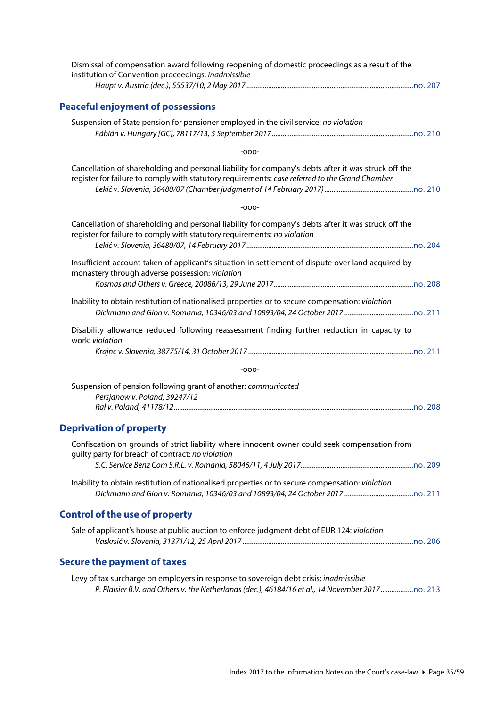<span id="page-34-3"></span><span id="page-34-2"></span><span id="page-34-1"></span><span id="page-34-0"></span>

| Dismissal of compensation award following reopening of domestic proceedings as a result of the<br>institution of Convention proceedings: inadmissible                                                 |
|-------------------------------------------------------------------------------------------------------------------------------------------------------------------------------------------------------|
| <b>Peaceful enjoyment of possessions</b>                                                                                                                                                              |
| Suspension of State pension for pensioner employed in the civil service: no violation                                                                                                                 |
| $-000-$                                                                                                                                                                                               |
| Cancellation of shareholding and personal liability for company's debts after it was struck off the<br>register for failure to comply with statutory requirements: case referred to the Grand Chamber |
| $-000-$                                                                                                                                                                                               |
| Cancellation of shareholding and personal liability for company's debts after it was struck off the<br>register for failure to comply with statutory requirements: no violation                       |
| Insufficient account taken of applicant's situation in settlement of dispute over land acquired by<br>monastery through adverse possession: violation                                                 |
| Inability to obtain restitution of nationalised properties or to secure compensation: violation                                                                                                       |
| Disability allowance reduced following reassessment finding further reduction in capacity to<br>work: violation                                                                                       |
| $-000-$                                                                                                                                                                                               |
| Suspension of pension following grant of another: communicated                                                                                                                                        |
| Persjanow v. Poland, 39247/12                                                                                                                                                                         |
| <b>Deprivation of property</b>                                                                                                                                                                        |
| Confiscation on grounds of strict liability where innocent owner could seek compensation from<br>guilty party for breach of contract: no violation                                                    |
|                                                                                                                                                                                                       |
| Inability to obtain restitution of nationalised properties or to secure compensation: violation                                                                                                       |
| <b>Control of the use of property</b>                                                                                                                                                                 |
| Sale of applicant's house at public auction to enforce judgment debt of EUR 124: violation                                                                                                            |
| <b>Secure the payment of taxes</b>                                                                                                                                                                    |
| Levy of tax surcharge on employers in response to sovereign debt crisis: inadmissible                                                                                                                 |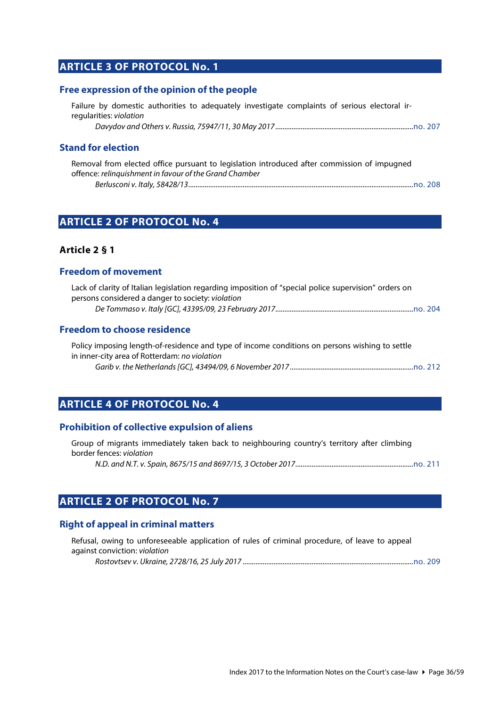# <span id="page-35-0"></span>**ARTICLE 3 OF PROTOCOL No. 1**

#### <span id="page-35-1"></span>**Free expression of the opinion of the people**

Failure by domestic authorities to adequately investigate complaints of serious electoral irregularities: *violation*

*Davydov and Others v. Russia, 75947/11, 30 May 2017............................................................................*[no. 207](http://www.echr.coe.int/Documents/CLIN_2017_05_207_ENG.pdf)

#### <span id="page-35-2"></span>**Stand for election**

Removal from elected office pursuant to legislation introduced after commission of impugned offence: *relinquishment in favour of the Grand Chamber Berlusconi v. Italy, 58428/13............................................................................................................................*[no. 208](http://www.echr.coe.int/Documents/CLIN_2017_06_208_ENG.pdf)

### <span id="page-35-3"></span>**ARTICLE 2 OF PROTOCOL No. 4**

#### <span id="page-35-4"></span>**Article 2 § 1**

#### <span id="page-35-5"></span>**Freedom of movement**

| Lack of clarity of Italian legislation regarding imposition of "special police supervision" orders on |  |
|-------------------------------------------------------------------------------------------------------|--|
| persons considered a danger to society: violation                                                     |  |
|                                                                                                       |  |

#### <span id="page-35-6"></span>**Freedom to choose residence**

Policy imposing length-of-residence and type of income conditions on persons wishing to settle in inner-city area of Rotterdam: *no violation Garib v. the Netherlands [GC], 43494/09, 6 November 2017 ....................................................................*[no. 212](http://www.echr.coe.int/Documents/CLIN_2017_11_212_ENG.pdf)

### <span id="page-35-7"></span>**ARTICLE 4 OF PROTOCOL No. 4**

#### <span id="page-35-8"></span>**Prohibition of collective expulsion of aliens**

|                                 |  | Group of migrants immediately taken back to neighbouring country's territory after climbing |  |  |  |
|---------------------------------|--|---------------------------------------------------------------------------------------------|--|--|--|
| border fences: <i>violation</i> |  |                                                                                             |  |  |  |
|                                 |  |                                                                                             |  |  |  |

# <span id="page-35-9"></span>**ARTICLE 2 OF PROTOCOL No. 7**

#### <span id="page-35-10"></span>**Right of appeal in criminal matters**

| Refusal, owing to unforeseeable application of rules of criminal procedure, of leave to appeal |           |
|------------------------------------------------------------------------------------------------|-----------|
| against conviction: violation                                                                  |           |
| $Deta_{t}$                                                                                     | $m = 200$ |

*Rostovtsev v. Ukraine, 2728/16, 25 July 2017 ..............................................................................................*[no. 209](http://www.echr.coe.int/Documents/CLIN_2017_07_209_ENG.pdf)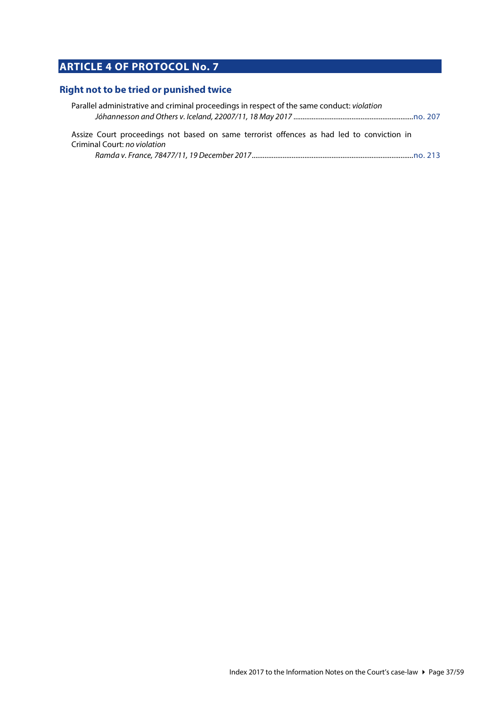# <span id="page-36-0"></span>**ARTICLE 4 OF PROTOCOL No. 7**

### <span id="page-36-1"></span>**Right not to be tried or punished twice**

| Parallel administrative and criminal proceedings in respect of the same conduct: violation |  |
|--------------------------------------------------------------------------------------------|--|
|                                                                                            |  |
|                                                                                            |  |

Assize Court proceedings not based on same terrorist offences as had led to conviction in Criminal Court: *no violation*

|--|--|--|--|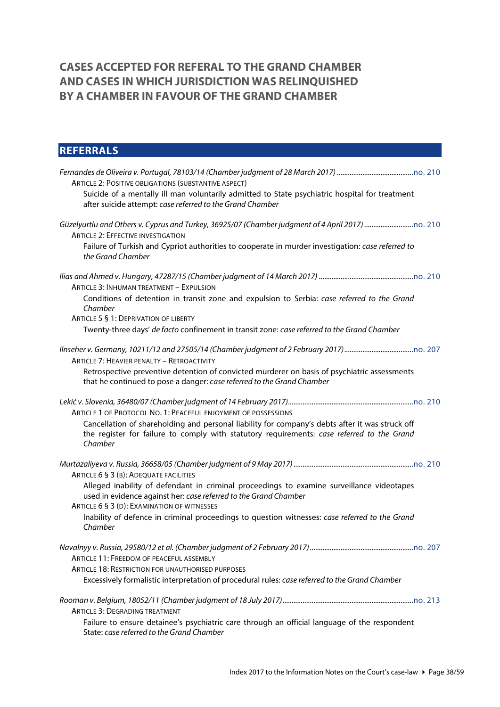# <span id="page-37-0"></span>**CASES ACCEPTED FOR REFERAL TO THE GRAND CHAMBER AND CASES IN WHICH JURISDICTION WAS RELINQUISHED BY A CHAMBER IN FAVOUR OF THE GRAND CHAMBER**

# <span id="page-37-1"></span>**REFERRALS** *Fernandes de Oliveira v. Portugal, 78103/14 (Chamber judgment of 28 March 2017) ..........................................*[no. 210](http://www.echr.coe.int/Documents/CLIN_2017_09_210_ENG.pdf) ARTICLE 2: POSITIVE OBLIGATIONS (SUBSTANTIVE ASPECT) Suicide of a mentally ill man voluntarily admitted to State psychiatric hospital for treatment after suicide attempt: *case referred to the Grand Chamber Güzelyurtlu and Others v. Cyprus and Turkey, 36925/07 (Chamber judgment of 4 April 2017) ...........................*[no. 210](http://www.echr.coe.int/Documents/CLIN_2017_09_210_ENG.pdf) ARTICLE 2: EFFECTIVE INVESTIGATION Failure of Turkish and Cypriot authorities to cooperate in murder investigation: *case referred to the Grand Chamber Ilias and Ahmed v. Hungary, 47287/15 (Chamber judgment of 14 March 2017) ....................................................*[no. 210](http://www.echr.coe.int/Documents/CLIN_2017_09_210_ENG.pdf) ARTICLE 3: INHUMAN TREATMENT – EXPULSION Conditions of detention in transit zone and expulsion to Serbia: *case referred to the Grand Chamber* ARTICLE 5 § 1: DEPRIVATION OF LIBERTY Twenty-three days' *de facto* confinement in transit zone: *case referred to the Grand Chamber Ilnseher v. Germany, 10211/12 and 27505/14 (Chamber judgment of 2 February 2017)......................................*[no. 207](http://www.echr.coe.int/Documents/CLIN_2017_05_207_ENG.pdf) ARTICLE 7: HEAVIER PENALTY – RETROACTIVITY Retrospective preventive detention of convicted murderer on basis of psychiatric assessments that he continued to pose a danger: *case referred to the Grand Chamber Lekić v. Slovenia, 36480/07 (Chamber judgment of 14 February 2017).....................................................................*[no. 210](http://www.echr.coe.int/Documents/CLIN_2017_09_210_ENG.pdf) ARTICLE 1 OF PROTOCOL NO. 1: PEACEFUL ENJOYMENT OF POSSESSIONS Cancellation of shareholding and personal liability for company's debts after it was struck off the register for failure to comply with statutory requirements: *case referred to the Grand Chamber Murtazaliyeva v. Russia, 36658/05 (Chamber judgment of 9 May 2017) ..................................................................*[no. 210](http://www.echr.coe.int/Documents/CLIN_2017_09_210_ENG.pdf) ARTICLE 6 § 3 (B): ADEQUATE FACILITIES Alleged inability of defendant in criminal proceedings to examine surveillance videotapes used in evidence against her: *case referred to the Grand Chamber* ARTICLE 6 § 3 (D): EXAMINATION OF WITNESSES Inability of defence in criminal proceedings to question witnesses: *case referred to the Grand Chamber Navalnyy v. Russia, 29580/12 et al. (Chamber judgment of 2 February 2017).........................................................*[no. 207](http://www.echr.coe.int/Documents/CLIN_2017_05_207_ENG.pdf) ARTICLE 11: FREEDOM OF PEACEFUL ASSEMBLY ARTICLE 18: RESTRICTION FOR UNAUTHORISED PURPOSES Excessively formalistic interpretation of procedural rules: *case referred to the Grand Chamber Rooman v. Belgium, 18052/11 (Chamber judgment of 18 July 2017)........................................................................*[no. 213](http://www.echr.coe.int/Documents/CLIN_2017_12_213_ENG.pdf) ARTICLE 3: DEGRADING TREATMENT Failure to ensure detainee's psychiatric care through an official language of the respondent State: *case referred to the Grand Chamber*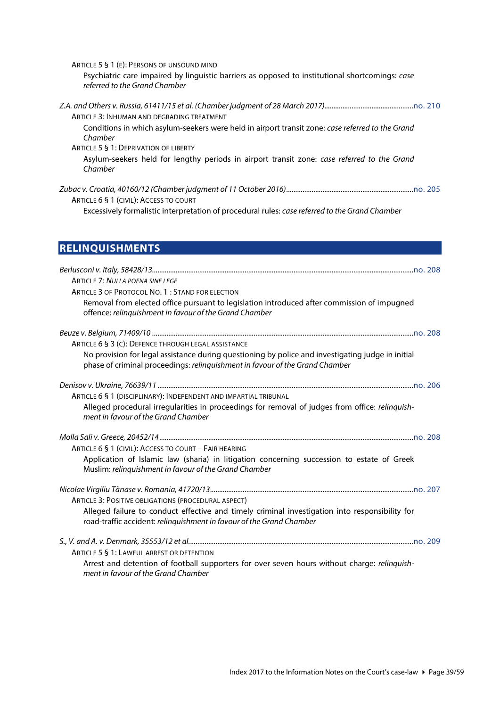ARTICLE 5 § 1 (E): PERSONS OF UNSOUND MIND Psychiatric care impaired by linguistic barriers as opposed to institutional shortcomings: *case referred to the Grand Chamber Z.A. and Others v. Russia, 61411/15 et al. (Chamber judgment of 28 March 2017).................................................*[no. 210](http://www.echr.coe.int/Documents/CLIN_2017_09_210_ENG.pdf) ARTICLE 3: INHUMAN AND DEGRADING TREATMENT Conditions in which asylum-seekers were held in airport transit zone: *case referred to the Grand Chamber* ARTICLE 5 § 1: DEPRIVATION OF LIBERTY Asylum-seekers held for lengthy periods in airport transit zone: *case referred to the Grand Chamber Zubac v. Croatia, 40160/12 (Chamber judgment of 11 October 2016)......................................................................*[no. 205](http://www.echr.coe.int/Documents/CLIN_2017_03_205_ENG.pdf) ARTICLE 6 § 1 (CIVIL): ACCESS TO COURT

Excessively formalistic interpretation of procedural rules: *case referred to the Grand Chamber*

# <span id="page-38-0"></span>**RELINQUISHMENTS**

| <b>ARTICLE 7: NULLA POENA SINE LEGE</b>                                                                                                                                           |
|-----------------------------------------------------------------------------------------------------------------------------------------------------------------------------------|
| ARTICLE 3 OF PROTOCOL NO. 1: STAND FOR ELECTION                                                                                                                                   |
| Removal from elected office pursuant to legislation introduced after commission of impugned<br>offence: relinquishment in favour of the Grand Chamber                             |
|                                                                                                                                                                                   |
| ARTICLE 6 § 3 (C): DEFENCE THROUGH LEGAL ASSISTANCE                                                                                                                               |
| No provision for legal assistance during questioning by police and investigating judge in initial<br>phase of criminal proceedings: relinguishment in favour of the Grand Chamber |
|                                                                                                                                                                                   |
| ARTICLE 6 § 1 (DISCIPLINARY): INDEPENDENT AND IMPARTIAL TRIBUNAL                                                                                                                  |
| Alleged procedural irregularities in proceedings for removal of judges from office: relinguish-<br>ment in favour of the Grand Chamber                                            |
|                                                                                                                                                                                   |
| ARTICLE 6 § 1 (CIVIL): ACCESS TO COURT - FAIR HEARING                                                                                                                             |
| Application of Islamic law (sharia) in litigation concerning succession to estate of Greek<br>Muslim: relinquishment in favour of the Grand Chamber                               |
|                                                                                                                                                                                   |
| ARTICLE 3: POSITIVE OBLIGATIONS (PROCEDURAL ASPECT)                                                                                                                               |
| Alleged failure to conduct effective and timely criminal investigation into responsibility for<br>road-traffic accident: relinquishment in favour of the Grand Chamber            |
|                                                                                                                                                                                   |
| ARTICLE 5 § 1: LAWFUL ARREST OR DETENTION                                                                                                                                         |
| Arrest and detention of football supporters for over seven hours without charge: relinquish-<br>ment in favour of the Grand Chamber                                               |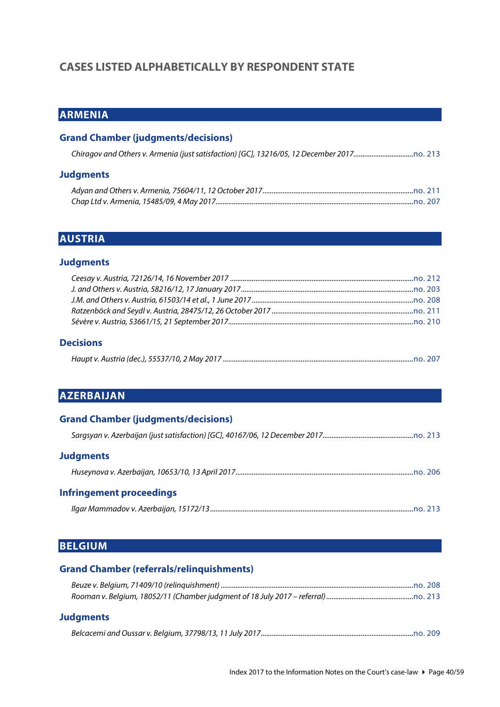# <span id="page-39-0"></span>**CASES LISTED ALPHABETICALLY BY RESPONDENT STATE**

# <span id="page-39-1"></span>**ARMENIA**

### **Grand Chamber (judgments/decisions)**

#### **Judgments**

# <span id="page-39-2"></span>**AUSTRIA**

#### **Judgments**

#### **Decisions**

<span id="page-39-3"></span>

|--|

# **AZERBAIJAN**

| <b>Grand Chamber (judgments/decisions)</b> |  |
|--------------------------------------------|--|
|                                            |  |
| <b>Judgments</b>                           |  |
|                                            |  |
| <b>Infringement proceedings</b>            |  |
|                                            |  |

#### <span id="page-39-4"></span>**BELGIUM**

| <b>Grand Chamber (referrals/relinguishments)</b> |  |
|--------------------------------------------------|--|
|                                                  |  |
|                                                  |  |
| <b>Judgments</b>                                 |  |
|                                                  |  |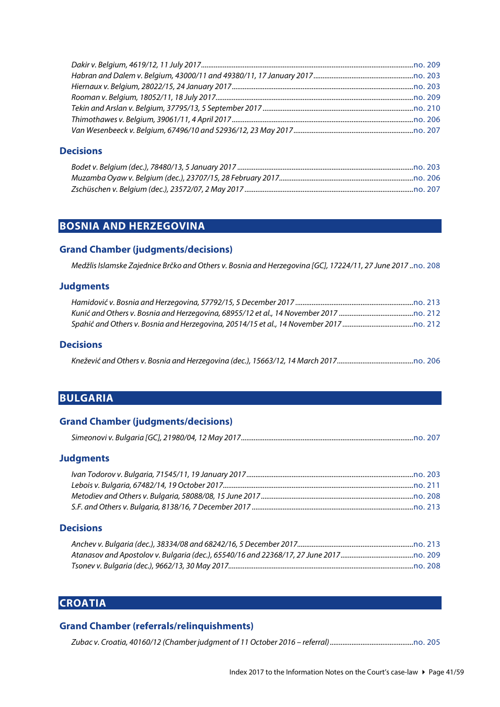#### **Decisions**

# <span id="page-40-0"></span>**BOSNIA AND HERZEGOVINA**

#### **Grand Chamber (judgments/decisions)**

*Medžlis Islamske Zajednice Brčko and Others v. Bosnia and Herzegovina [GC], 17224/11, 27 June 2017 ..*[no. 208](http://www.echr.coe.int/Documents/CLIN_2017_06_208_ENG.pdf)

#### **Judgments**

#### **Decisions**

<span id="page-40-1"></span>

|--|--|--|

# **BULGARIA**

#### **Grand Chamber (judgments/decisions)**

#### **Judgments**

#### **Decisions**

# <span id="page-40-2"></span>**CROATIA**

#### **Grand Chamber (referrals/relinquishments)**

*Zubac v. Croatia, 40160/12 (Chamber judgment of 11 October 2016 – referral)..............................................*[no. 205](http://www.echr.coe.int/Documents/CLIN_2017_03_205_ENG.pdf)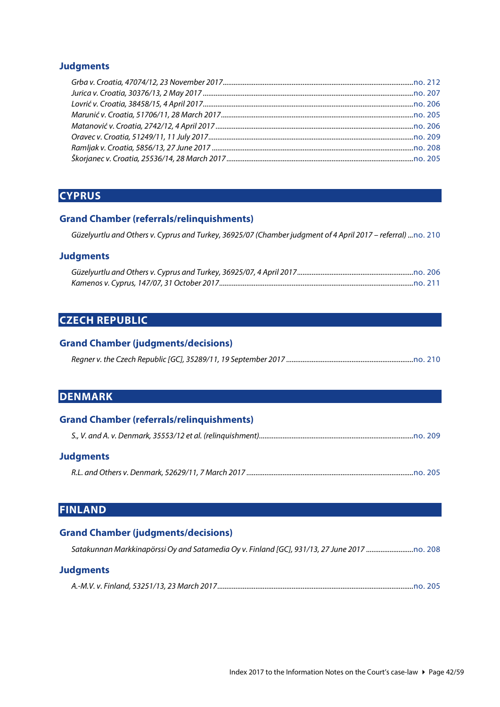#### **Judgments**

# <span id="page-41-0"></span>**CYPRUS**

#### **Grand Chamber (referrals/relinquishments)**

*Güzelyurtlu and Others v. Cyprus and Turkey, 36925/07 (Chamber judgment of 4 April 2017 – referral) ...*[no. 210](http://www.echr.coe.int/Documents/CLIN_2017_09_210_ENG.pdf)

#### **Judgments**

# <span id="page-41-1"></span>**CZECH REPUBLIC**

#### **Grand Chamber (judgments/decisions)**

<span id="page-41-2"></span>

# **DENMARK**

| <b>Grand Chamber (referrals/relinguishments)</b> |  |
|--------------------------------------------------|--|
|                                                  |  |
| <b>Judgments</b>                                 |  |
|                                                  |  |

# <span id="page-41-3"></span>**FINLAND**

#### **Grand Chamber (judgments/decisions)**

| Satakunnan Markkinapörssi Oy and Satamedia Oy v. Finland [GC], 931/13, 27 June 2017 o. 208 |
|--------------------------------------------------------------------------------------------|
|                                                                                            |

#### **Judgments**

|--|--|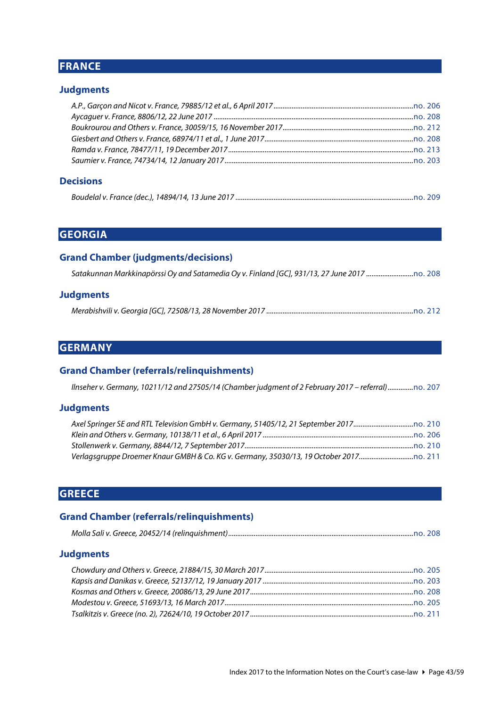# <span id="page-42-0"></span>**FRANCE**

### **Judgments**

#### **Decisions**

<span id="page-42-1"></span>

|--|--|

# **GEORGIA**

#### **Grand Chamber (judgments/decisions)**

### **Judgments**

<span id="page-42-2"></span>

|--|--|

# **GERMANY**

#### **Grand Chamber (referrals/relinquishments)**

*Ilnseher v. Germany, 10211/12 and 27505/14 (Chamber judgment of 2 February 2017 – referral)..............*[no. 207](http://www.echr.coe.int/Documents/CLIN_2017_05_207_ENG.pdf)

#### **Judgments**

# <span id="page-42-3"></span>**GREECE**

#### **Grand Chamber (referrals/relinquishments)**

|--|

#### **Judgments**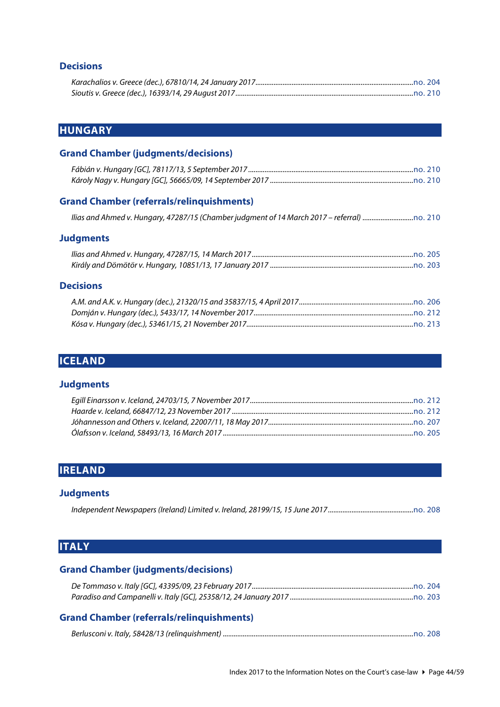### **Decisions**

# <span id="page-43-0"></span>**HUNGARY**

#### **Grand Chamber (judgments/decisions)**

#### **Grand Chamber (referrals/relinquishments)**

```
Ilias and Ahmed v. Hungary, 47287/15 (Chamber judgment of 14 March 2017 – referral) ............................no. 210
```
#### **Judgments**

#### **Decisions**

# <span id="page-43-1"></span>**ICELAND**

#### **Judgments**

# <span id="page-43-2"></span>**IRELAND**

#### **Judgments**

<span id="page-43-3"></span>

# **ITALY**

# **Grand Chamber (judgments/decisions)**

# **Grand Chamber (referrals/relinquishments)**

|--|--|--|--|--|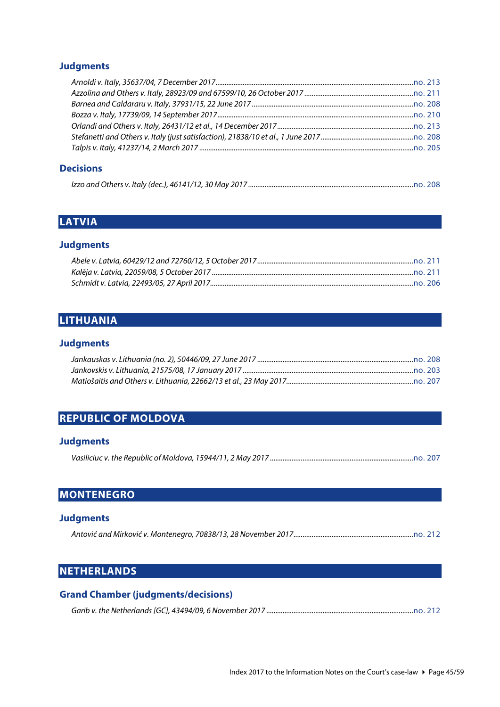# **Judgments**

### **Decisions**

<span id="page-44-0"></span>

|--|

# **LATVIA**

### **Judgments**

# <span id="page-44-1"></span>**LITHUANIA**

#### **Judgments**

# <span id="page-44-2"></span>**REPUBLIC OF MOLDOVA**

# **Judgments**

<span id="page-44-3"></span>

|--|--|--|--|

# **MONTENEGRO**

#### **Judgments**

<span id="page-44-4"></span>

|--|--|--|--|--|

# **NETHERLANDS**

| <b>Grand Chamber (judgments/decisions)</b> |  |
|--------------------------------------------|--|
|                                            |  |

|--|--|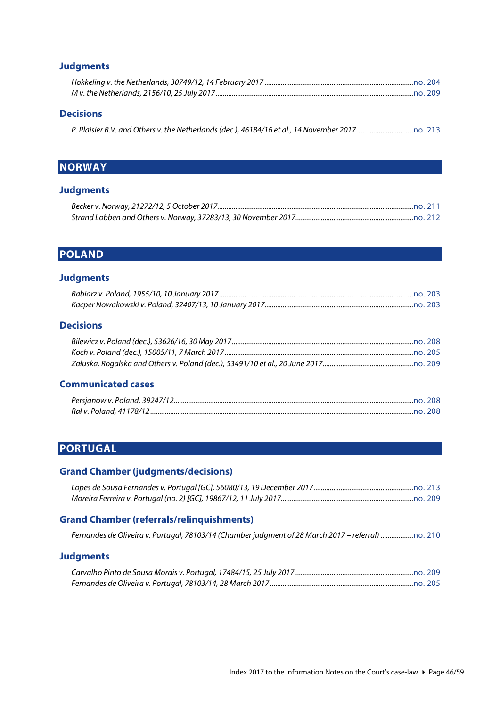### **Judgments**

#### **Decisions**

<span id="page-45-0"></span>

|--|--|

# **NORWAY**

### **Judgments**

# <span id="page-45-1"></span>**POLAND**

### **Judgments**

# **Decisions**

### **Communicated cases**

# <span id="page-45-2"></span>**PORTUGAL**

# **Grand Chamber (judgments/decisions)**

#### **Grand Chamber (referrals/relinquishments)**

|  | Fernandes de Oliveira v. Portugal, 78103/14 (Chamber judgment of 28 March 2017 - referral) o. 210 |  |  |  |
|--|---------------------------------------------------------------------------------------------------|--|--|--|
|--|---------------------------------------------------------------------------------------------------|--|--|--|

#### **Judgments**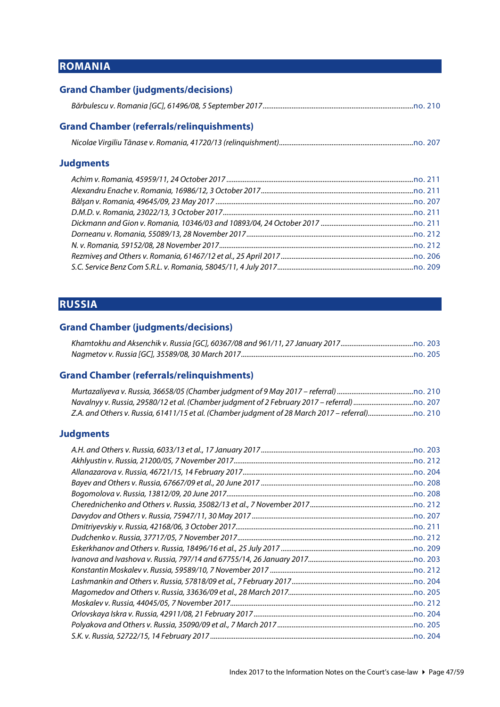# <span id="page-46-0"></span>**ROMANIA**

| <b>Grand Chamber (judgments/decisions)</b>       |  |
|--------------------------------------------------|--|
|                                                  |  |
| <b>Grand Chamber (referrals/relinquishments)</b> |  |
|                                                  |  |
| <b>Judgments</b>                                 |  |
|                                                  |  |
|                                                  |  |
|                                                  |  |
|                                                  |  |
|                                                  |  |
|                                                  |  |
|                                                  |  |
|                                                  |  |

# **RUSSIA**

# **Grand Chamber (judgments/decisions)**

<span id="page-46-1"></span>*S.C. Service Benz Com S.R.L. v. Romania, 58045/11, 4 July 2017...........................................................................*[no. 209](http://www.echr.coe.int/Documents/CLIN_2017_07_209_ENG.pdf)

#### **Grand Chamber (referrals/relinquishments)**

#### **Judgments**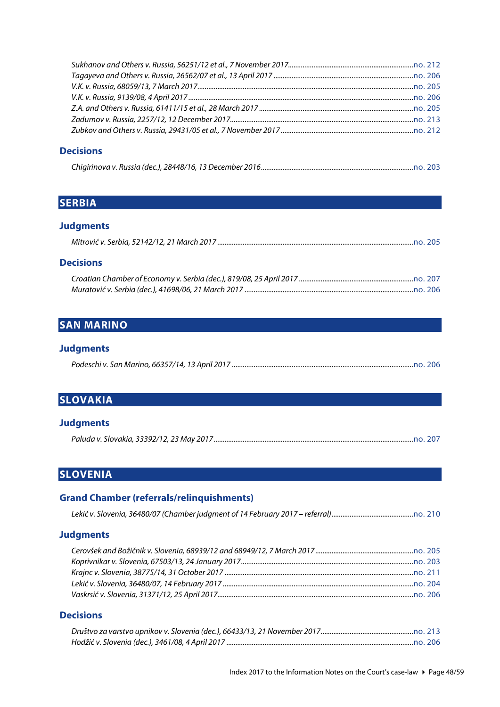### **Decisions**

<span id="page-47-0"></span>

|--|--|

# **SERBIA**

# **Judgments**

|--|--|

#### **Decisions**

# <span id="page-47-1"></span>**SAN MARINO**

# **Judgments**

<span id="page-47-2"></span>

|--|--|

# **SLOVAKIA**

#### **Judgments**

<span id="page-47-3"></span>

|--|--|

# **SLOVENIA**

# **Grand Chamber (referrals/relinquishments)**

### **Judgments**

### **Decisions**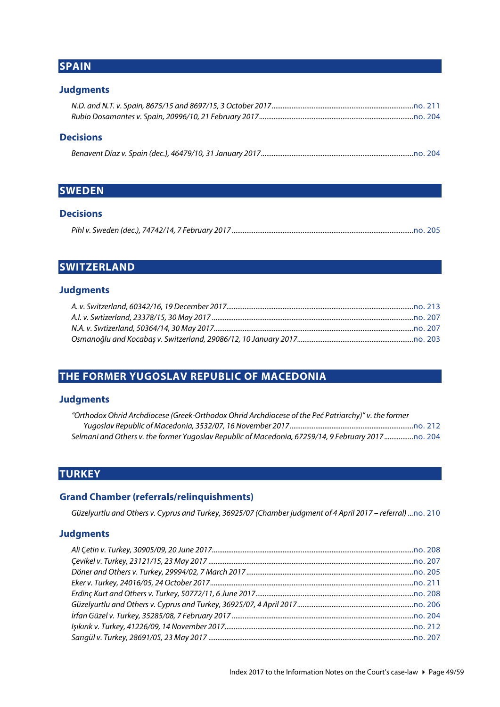# <span id="page-48-0"></span>**SPAIN**

### **Judgments**

### **Decisions**

<span id="page-48-1"></span>

|--|--|--|--|--|

# **SWEDEN**

#### **Decisions**

<span id="page-48-2"></span>

|--|

# **SWITZERLAND**

#### **Judgments**

# <span id="page-48-3"></span>**THE FORMER YUGOSLAV REPUBLIC OF MACEDONIA**

# **Judgments**

| "Orthodox Ohrid Archdiocese (Greek-Orthodox Ohrid Archdiocese of the Peć Patriarchy)" v. the former |  |
|-----------------------------------------------------------------------------------------------------|--|
|                                                                                                     |  |
| Selmani and Others v. the former Yuqoslav Republic of Macedonia, 67259/14, 9 February 2017 o. 204   |  |

# <span id="page-48-4"></span>**TURKEY**

#### **Grand Chamber (referrals/relinquishments)**

*Güzelyurtlu and Others v. Cyprus and Turkey, 36925/07 (Chamber judgment of 4 April 2017 – referral) ...*[no. 210](http://www.echr.coe.int/Documents/CLIN_2017_09_210_ENG.pdf)

#### **Judgments**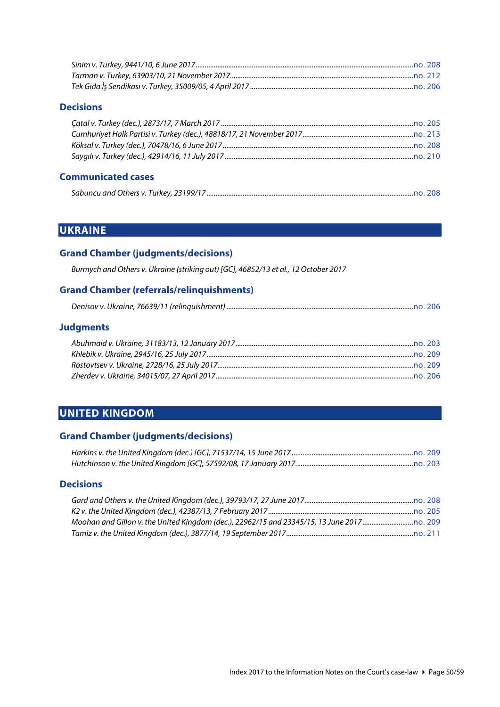#### **Decisions**

#### **Communicated cases**

<span id="page-49-0"></span>

|--|

# **UKRAINE**

### **Grand Chamber (judgments/decisions)**

*Burmych and Others v. Ukraine (striking out) [GC], 46852/13 et al., 12 October 2017*

### **Grand Chamber (referrals/relinquishments)**

|--|--|--|--|

# **Judgments**

# <span id="page-49-1"></span>**UNITED KINGDOM**

#### **Grand Chamber (judgments/decisions)**

| Harkins v. the United Kingdom (dec.) [GC], 71537/14, 15 June 2017………………………………………………………………………………………… |  |
|-----------------------------------------------------------------------------------------------------|--|
| Hutchinson v. the United Kingdom [GC], 57592/08, 17 January 2017…………………………………………………………………………………………… |  |

### **Decisions**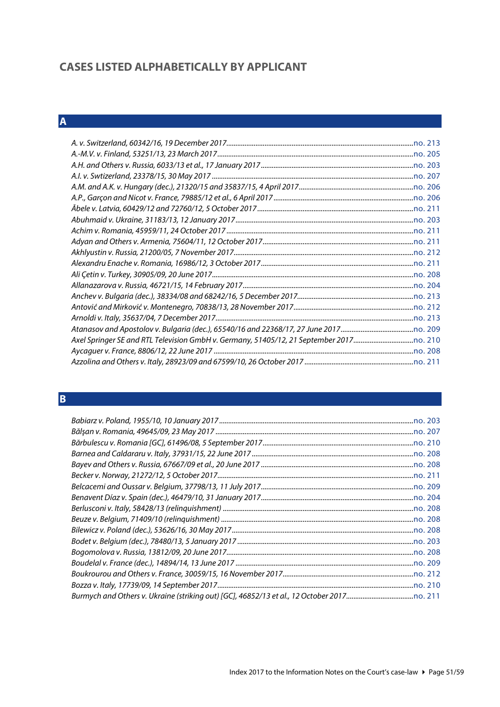# <span id="page-50-0"></span>**CASES LISTED ALPHABETICALLY BY APPLICANT**

# <span id="page-50-1"></span>**A**

# <span id="page-50-2"></span>**B**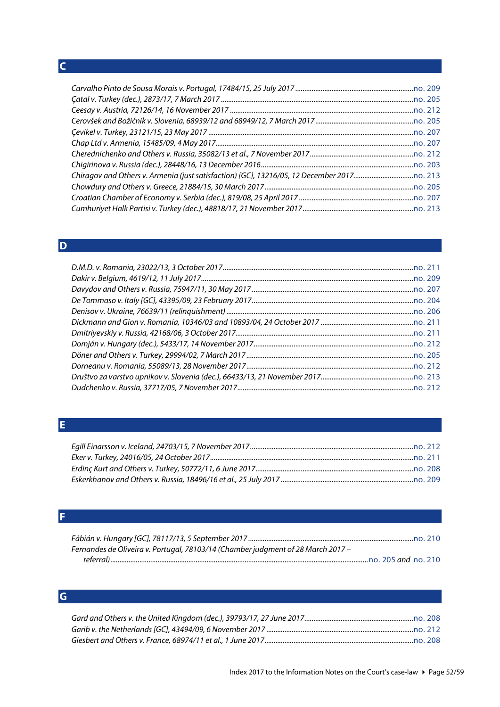# <span id="page-51-0"></span>**C**

# <span id="page-51-1"></span>**D**

# <span id="page-51-2"></span>**E**

<span id="page-51-3"></span>

| Fernandes de Oliveira v. Portugal, 78103/14 (Chamber judgment of 28 March 2017 - |                     |
|----------------------------------------------------------------------------------|---------------------|
|                                                                                  | no. 205 and no. 210 |

# <span id="page-51-4"></span>**G**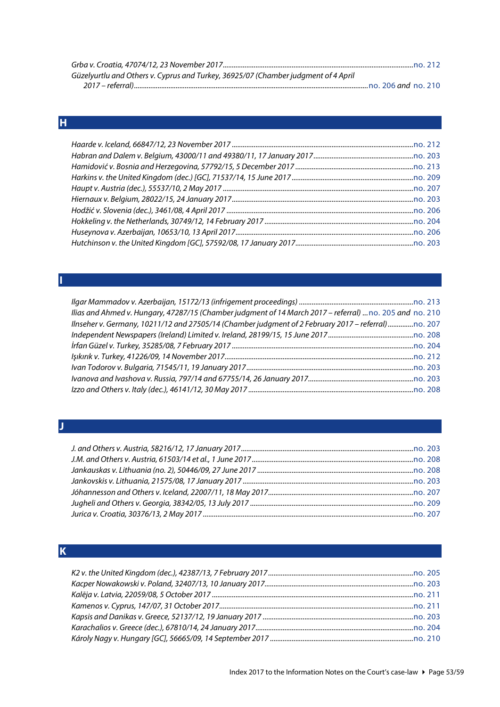| Güzelyurtlu and Others v. Cyprus and Turkey, 36925/07 (Chamber judgment of 4 April |  |
|------------------------------------------------------------------------------------|--|
|                                                                                    |  |

# <span id="page-52-0"></span>**H**

| Ilias and Ahmed v. Hungary, 47287/15 (Chamber judgment of 14 March 2017 - referral)  no. 205 and no. 210 |  |
|----------------------------------------------------------------------------------------------------------|--|
| llnseher v. Germany, 10211/12 and 27505/14 (Chamber judgment of 2 February 2017 – referral)              |  |
|                                                                                                          |  |
|                                                                                                          |  |
|                                                                                                          |  |
|                                                                                                          |  |
|                                                                                                          |  |
|                                                                                                          |  |

#### <span id="page-52-2"></span>**J**

<span id="page-52-1"></span>**I**

# <span id="page-52-3"></span>**K**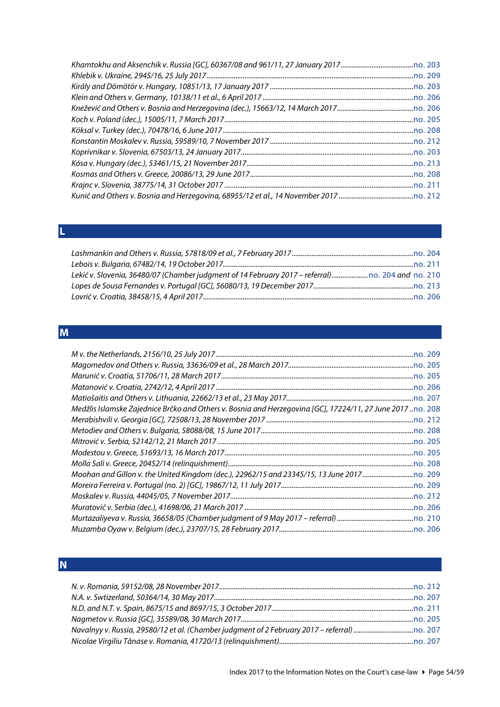<span id="page-53-0"></span>

| u                      |  |
|------------------------|--|
|                        |  |
|                        |  |
|                        |  |
| <b>Service Service</b> |  |
|                        |  |

| Lekić v. Slovenia, 36480/07 (Chamber judgment of 14 February 2017 - referral) no. 204 and no. 210 |  |
|---------------------------------------------------------------------------------------------------|--|
|                                                                                                   |  |
|                                                                                                   |  |

# <span id="page-53-1"></span>**M**

| Medžlis Islamske Zajednice Brčko and Others v. Bosnia and Herzegovina [GC], 17224/11, 27 June 2017no. 208 |
|-----------------------------------------------------------------------------------------------------------|
|                                                                                                           |
|                                                                                                           |
|                                                                                                           |
|                                                                                                           |
|                                                                                                           |
|                                                                                                           |
|                                                                                                           |
|                                                                                                           |
|                                                                                                           |
|                                                                                                           |
|                                                                                                           |
|                                                                                                           |

# <span id="page-53-2"></span>**N**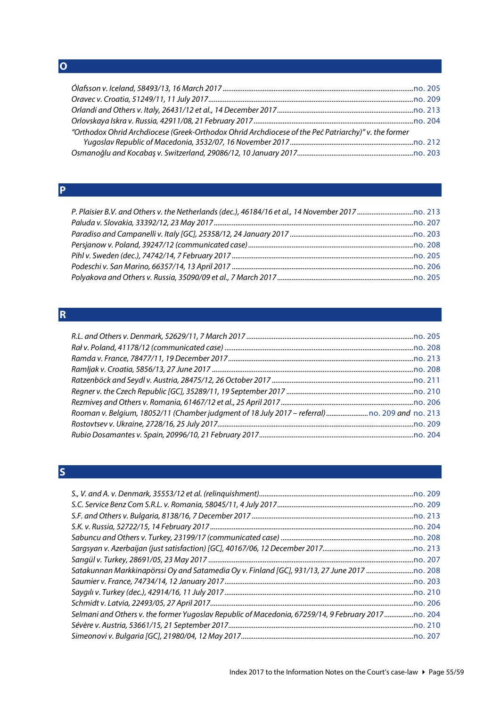<span id="page-54-0"></span>**O**

| "Orthodox Ohrid Archdiocese (Greek-Orthodox Ohrid Archdiocese of the Peć Patriarchy)" v. the former |  |
|-----------------------------------------------------------------------------------------------------|--|
|                                                                                                     |  |
|                                                                                                     |  |

# <span id="page-54-1"></span>**P**

# <span id="page-54-2"></span>**R**

| Rooman v. Belgium, 18052/11 (Chamber judgment of 18 July 2017 - referral)  no. 209 and no. 213 |  |
|------------------------------------------------------------------------------------------------|--|
|                                                                                                |  |
|                                                                                                |  |

# <span id="page-54-3"></span>**S**

| Selmani and Others v. the former Yugoslav Republic of Macedonia, 67259/14, 9 February 2017 |  |
|--------------------------------------------------------------------------------------------|--|
|                                                                                            |  |
|                                                                                            |  |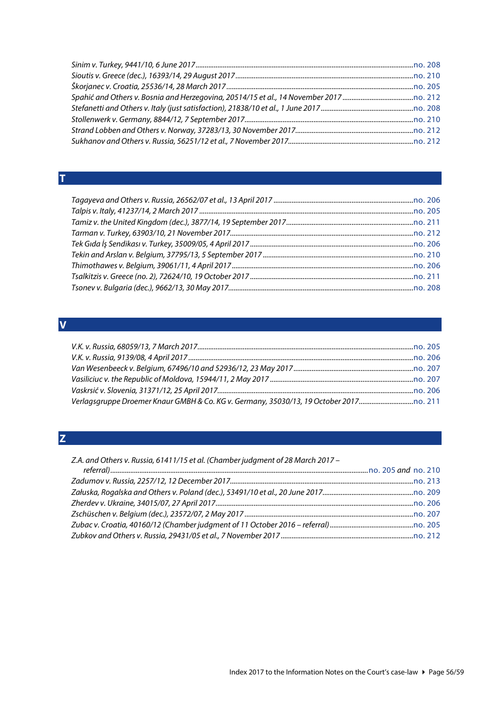# <span id="page-55-0"></span>**T**

# <span id="page-55-1"></span>**V**

# <span id="page-55-2"></span>**Z**

| Z.A. and Others v. Russia, 61411/15 et al. (Chamber judgment of 28 March 2017 - |  |
|---------------------------------------------------------------------------------|--|
|                                                                                 |  |
|                                                                                 |  |
|                                                                                 |  |
|                                                                                 |  |
|                                                                                 |  |
|                                                                                 |  |
|                                                                                 |  |
|                                                                                 |  |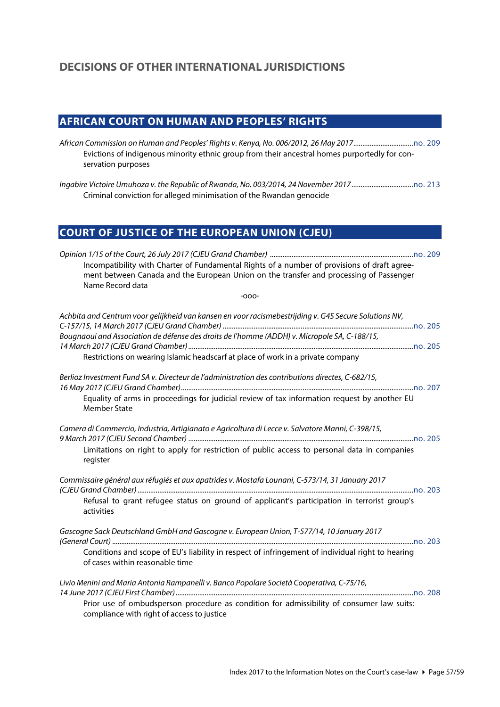# <span id="page-56-1"></span><span id="page-56-0"></span>**AFRICAN COURT ON HUMAN AND PEOPLES' RIGHTS**

*African Commission on Human and Peoples' Rights v. Kenya, No. 006/2012, 26 May 2017.................................*[no. 209](http://www.echr.coe.int/Documents/CLIN_2017_07_209_ENG.pdf) Evictions of indigenous minority ethnic group from their ancestral homes purportedly for conservation purposes

<span id="page-56-2"></span>*Ingabire Victoire Umuhoza v. the Republic of Rwanda, No. 003/2014, 24 November 2017..................................*[no. 213](http://www.echr.coe.int/Documents/CLIN_2017_12_213_ENG.pdf) Criminal conviction for alleged minimisation of the Rwandan genocide

# **COURT OF JUSTICE OF THE EUROPEAN UNION (CJEU)**

| Incompatibility with Charter of Fundamental Rights of a number of provisions of draft agree-<br>ment between Canada and the European Union on the transfer and processing of Passenger<br>Name Record data                                                                               |  |
|------------------------------------------------------------------------------------------------------------------------------------------------------------------------------------------------------------------------------------------------------------------------------------------|--|
| $-000-$                                                                                                                                                                                                                                                                                  |  |
| Achbita and Centrum voor gelijkheid van kansen en voor racismebestrijding v. G4S Secure Solutions NV,<br>Bougnaoui and Association de défense des droits de l'homme (ADDH) v. Micropole SA, C-188/15,<br>Restrictions on wearing Islamic headscarf at place of work in a private company |  |
| Berlioz Investment Fund SA v. Directeur de l'administration des contributions directes, C-682/15,<br>Equality of arms in proceedings for judicial review of tax information request by another EU<br><b>Member State</b>                                                                 |  |
| Camera di Commercio, Industria, Artigianato e Agricoltura di Lecce v. Salvatore Manni, C-398/15,<br>Limitations on right to apply for restriction of public access to personal data in companies<br>register                                                                             |  |
| Commissaire général aux réfugiés et aux apatrides v. Mostafa Lounani, C-573/14, 31 January 2017<br>Refusal to grant refugee status on ground of applicant's participation in terrorist group's<br>activities                                                                             |  |
| Gascogne Sack Deutschland GmbH and Gascogne v. European Union, T-577/14, 10 January 2017<br>Conditions and scope of EU's liability in respect of infringement of individual right to hearing<br>of cases within reasonable time                                                          |  |
| Livio Menini and Maria Antonia Rampanelli v. Banco Popolare Società Cooperativa, C-75/16,<br>Prior use of ombudsperson procedure as condition for admissibility of consumer law suits:<br>compliance with right of access to justice                                                     |  |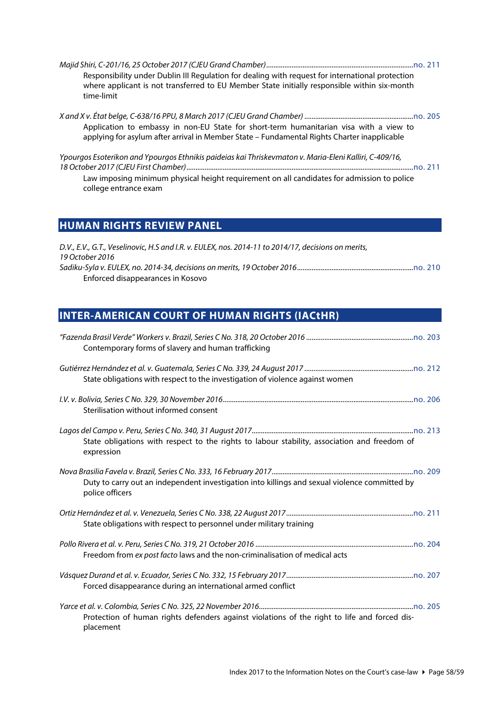| Responsibility under Dublin III Regulation for dealing with request for international protection<br>where applicant is not transferred to EU Member State initially responsible within six-month<br>time-limit                |
|-------------------------------------------------------------------------------------------------------------------------------------------------------------------------------------------------------------------------------|
| Application to embassy in non-EU State for short-term humanitarian visa with a view to<br>applying for asylum after arrival in Member State - Fundamental Rights Charter inapplicable                                         |
| Ypourgos Esoterikon and Ypourgos Ethnikis paideias kai Thriskevmaton v. Maria-Eleni Kalliri, C-409/16,<br>Law imposing minimum physical height requirement on all candidates for admission to police<br>college entrance exam |

# <span id="page-57-0"></span>**HUMAN RIGHTS REVIEW PANEL**

| D.V., E.V., G.T., Veselinovic, H.S and I.R. v. EULEX, nos. 2014-11 to 2014/17, decisions on merits, |
|-----------------------------------------------------------------------------------------------------|
| 19 October 2016                                                                                     |
|                                                                                                     |
| Enforced disappearances in Kosovo                                                                   |

# <span id="page-57-1"></span>**INTER-AMERICAN COURT OF HUMAN RIGHTS (IACtHR)**

| Contemporary forms of slavery and human trafficking                                                              |
|------------------------------------------------------------------------------------------------------------------|
| State obligations with respect to the investigation of violence against women                                    |
| Sterilisation without informed consent                                                                           |
| State obligations with respect to the rights to labour stability, association and freedom of<br>expression       |
| Duty to carry out an independent investigation into killings and sexual violence committed by<br>police officers |
| State obligations with respect to personnel under military training                                              |
| Freedom from ex post facto laws and the non-criminalisation of medical acts                                      |
| Forced disappearance during an international armed conflict                                                      |
| Protection of human rights defenders against violations of the right to life and forced dis-<br>placement        |